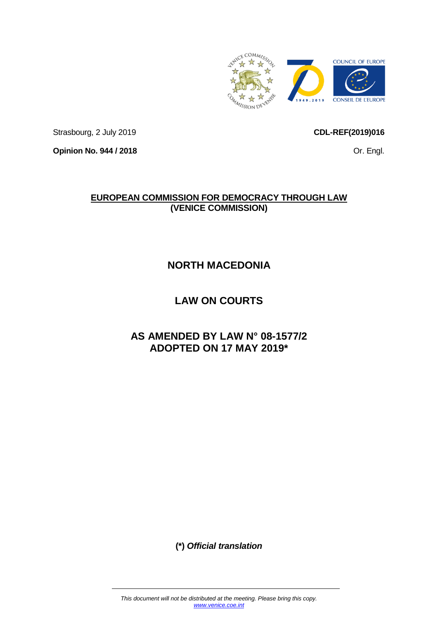

Strasbourg, 2 July 2019

**Opinion No. 944 / 2018**

<span id="page-0-0"></span>**CDL-REF(2019)016**

Or. Engl.

# **EUROPEAN COMMISSION FOR DEMOCRACY THROUGH LAW (VENICE COMMISSION)**

# **NORTH MACEDONIA**

# **LAW ON COURTS**

# **AS AMENDED BY LAW N° 08-1577/2 ADOPTED ON 17 MAY 2019\***

**(\*)** *Official translation*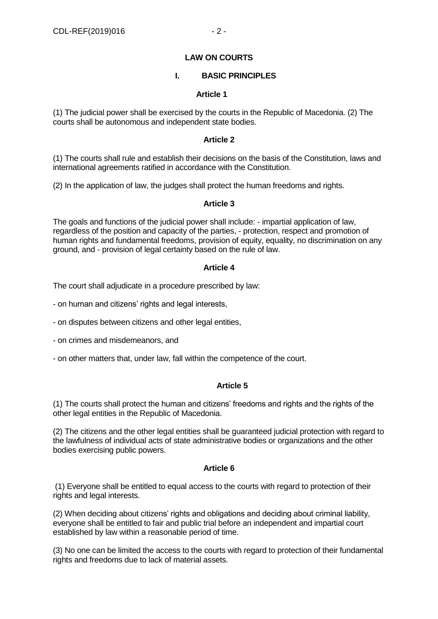#### **LAW ON COURTS**

#### **I. BASIC PRINCIPLES**

#### **Article 1**

(1) The judicial power shall be exercised by the courts in the Republic of Macedonia. (2) The courts shall be autonomous and independent state bodies.

#### **Article 2**

(1) The courts shall rule and establish their decisions on the basis of the Constitution, laws and international agreements ratified in accordance with the Constitution.

(2) In the application of law, the judges shall protect the human freedoms and rights.

#### **Article 3**

The goals and functions of the judicial power shall include: - impartial application of law, regardless of the position and capacity of the parties, - protection, respect and promotion of human rights and fundamental freedoms, provision of equity, equality, no discrimination on any ground, and - provision of legal certainty based on the rule of law.

#### **Article 4**

The court shall adjudicate in a procedure prescribed by law:

- on human and citizens' rights and legal interests,

- on disputes between citizens and other legal entities,

- on crimes and misdemeanors, and

- on other matters that, under law, fall within the competence of the court.

# **Article 5**

(1) The courts shall protect the human and citizens' freedoms and rights and the rights of the other legal entities in the Republic of Macedonia.

(2) The citizens and the other legal entities shall be guaranteed judicial protection with regard to the lawfulness of individual acts of state administrative bodies or organizations and the other bodies exercising public powers.

#### **Article 6**

(1) Everyone shall be entitled to equal access to the courts with regard to protection of their rights and legal interests.

(2) When deciding about citizens' rights and obligations and deciding about criminal liability, everyone shall be entitled to fair and public trial before an independent and impartial court established by law within a reasonable period of time.

(3) No one can be limited the access to the courts with regard to protection of their fundamental rights and freedoms due to lack of material assets.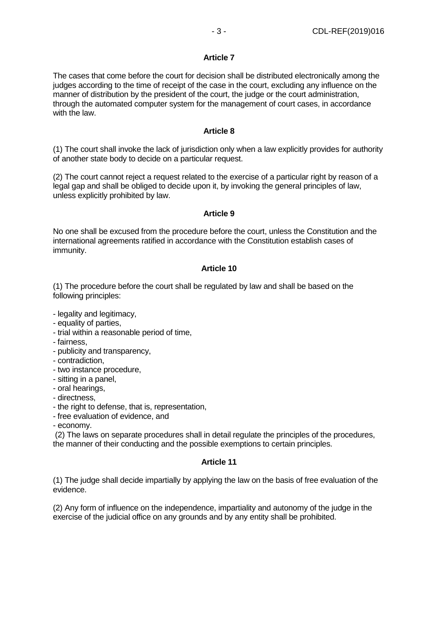# **Article 7**

The cases that come before the court for decision shall be distributed electronically among the judges according to the time of receipt of the case in the court, excluding any influence on the manner of distribution by the president of the court, the judge or the court administration, through the automated computer system for the management of court cases, in accordance with the law.

# **Article 8**

(1) The court shall invoke the lack of jurisdiction only when a law explicitly provides for authority of another state body to decide on a particular request.

(2) The court cannot reject a request related to the exercise of a particular right by reason of a legal gap and shall be obliged to decide upon it, by invoking the general principles of law, unless explicitly prohibited by law.

# **Article 9**

No one shall be excused from the procedure before the court, unless the Constitution and the international agreements ratified in accordance with the Constitution establish cases of immunity.

# **Article 10**

(1) The procedure before the court shall be regulated by law and shall be based on the following principles:

- legality and legitimacy,
- equality of parties,
- trial within a reasonable period of time,
- fairness,
- publicity and transparency,
- contradiction,
- two instance procedure,
- sitting in a panel,
- oral hearings,
- directness,
- the right to defense, that is, representation,
- free evaluation of evidence, and
- economy.

(2) The laws on separate procedures shall in detail regulate the principles of the procedures, the manner of their conducting and the possible exemptions to certain principles.

# **Article 11**

(1) The judge shall decide impartially by applying the law on the basis of free evaluation of the evidence.

(2) Any form of influence on the independence, impartiality and autonomy of the judge in the exercise of the judicial office on any grounds and by any entity shall be prohibited.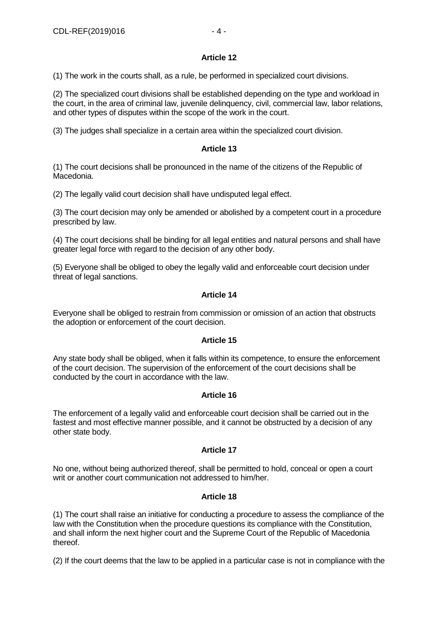# **Article 12**

(1) The work in the courts shall, as a rule, be performed in specialized court divisions.

(2) The specialized court divisions shall be established depending on the type and workload in the court, in the area of criminal law, juvenile delinquency, civil, commercial law, labor relations, and other types of disputes within the scope of the work in the court.

(3) The judges shall specialize in a certain area within the specialized court division.

# **Article 13**

(1) The court decisions shall be pronounced in the name of the citizens of the Republic of Macedonia.

(2) The legally valid court decision shall have undisputed legal effect.

(3) The court decision may only be amended or abolished by a competent court in a procedure prescribed by law.

(4) The court decisions shall be binding for all legal entities and natural persons and shall have greater legal force with regard to the decision of any other body.

(5) Everyone shall be obliged to obey the legally valid and enforceable court decision under threat of legal sanctions.

# **Article 14**

Everyone shall be obliged to restrain from commission or omission of an action that obstructs the adoption or enforcement of the court decision.

# **Article 15**

Any state body shall be obliged, when it falls within its competence, to ensure the enforcement of the court decision. The supervision of the enforcement of the court decisions shall be conducted by the court in accordance with the law.

# **Article 16**

The enforcement of a legally valid and enforceable court decision shall be carried out in the fastest and most effective manner possible, and it cannot be obstructed by a decision of any other state body.

# **Article 17**

No one, without being authorized thereof, shall be permitted to hold, conceal or open a court writ or another court communication not addressed to him/her.

# **Article 18**

(1) The court shall raise an initiative for conducting a procedure to assess the compliance of the law with the Constitution when the procedure questions its compliance with the Constitution, and shall inform the next higher court and the Supreme Court of the Republic of Macedonia thereof.

(2) If the court deems that the law to be applied in a particular case is not in compliance with the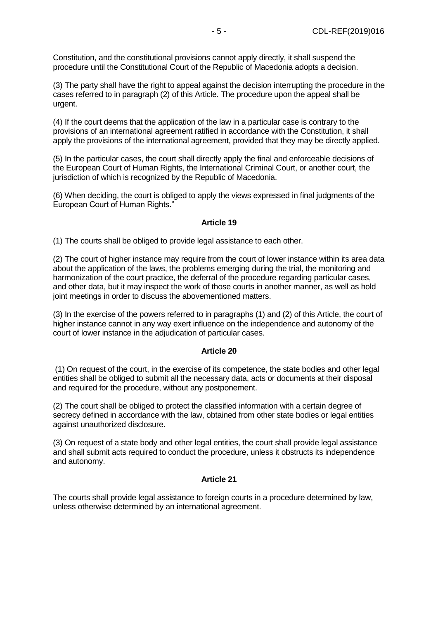Constitution, and the constitutional provisions cannot apply directly, it shall suspend the procedure until the Constitutional Court of the Republic of Macedonia adopts a decision.

(3) The party shall have the right to appeal against the decision interrupting the procedure in the cases referred to in paragraph (2) of this Article. The procedure upon the appeal shall be urgent.

(4) If the court deems that the application of the law in a particular case is contrary to the provisions of an international agreement ratified in accordance with the Constitution, it shall apply the provisions of the international agreement, provided that they may be directly applied.

(5) In the particular cases, the court shall directly apply the final and enforceable decisions of the European Court of Human Rights, the International Criminal Court, or another court, the jurisdiction of which is recognized by the Republic of Macedonia.

(6) When deciding, the court is obliged to apply the views expressed in final judgments of the European Court of Human Rights."

#### **Article 19**

(1) The courts shall be obliged to provide legal assistance to each other.

(2) The court of higher instance may require from the court of lower instance within its area data about the application of the laws, the problems emerging during the trial, the monitoring and harmonization of the court practice, the deferral of the procedure regarding particular cases, and other data, but it may inspect the work of those courts in another manner, as well as hold joint meetings in order to discuss the abovementioned matters.

(3) In the exercise of the powers referred to in paragraphs (1) and (2) of this Article, the court of higher instance cannot in any way exert influence on the independence and autonomy of the court of lower instance in the adjudication of particular cases.

#### **Article 20**

(1) On request of the court, in the exercise of its competence, the state bodies and other legal entities shall be obliged to submit all the necessary data, acts or documents at their disposal and required for the procedure, without any postponement.

(2) The court shall be obliged to protect the classified information with a certain degree of secrecy defined in accordance with the law, obtained from other state bodies or legal entities against unauthorized disclosure.

(3) On request of a state body and other legal entities, the court shall provide legal assistance and shall submit acts required to conduct the procedure, unless it obstructs its independence and autonomy.

# **Article 21**

The courts shall provide legal assistance to foreign courts in a procedure determined by law, unless otherwise determined by an international agreement.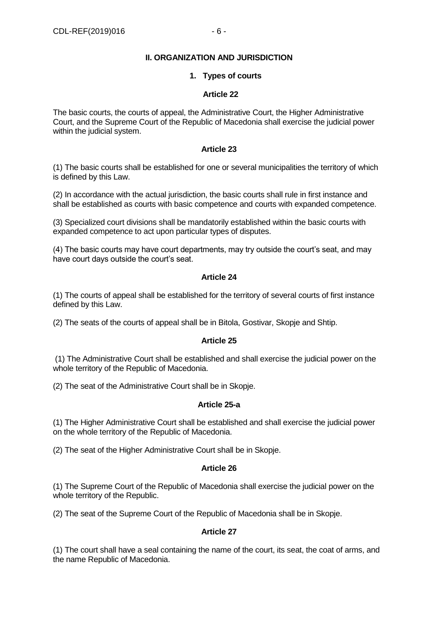# **II. ORGANIZATION AND JURISDICTION**

#### **1. Types of courts**

#### **Article 22**

The basic courts, the courts of appeal, the Administrative Court, the Higher Administrative Court, and the Supreme Court of the Republic of Macedonia shall exercise the judicial power within the judicial system.

# **Article 23**

(1) The basic courts shall be established for one or several municipalities the territory of which is defined by this Law.

(2) In accordance with the actual jurisdiction, the basic courts shall rule in first instance and shall be established as courts with basic competence and courts with expanded competence.

(3) Specialized court divisions shall be mandatorily established within the basic courts with expanded competence to act upon particular types of disputes.

(4) The basic courts may have court departments, may try outside the court's seat, and may have court days outside the court's seat.

#### **Article 24**

(1) The courts of appeal shall be established for the territory of several courts of first instance defined by this Law.

(2) The seats of the courts of appeal shall be in Bitola, Gostivar, Skopje and Shtip.

# **Article 25**

(1) The Administrative Court shall be established and shall exercise the judicial power on the whole territory of the Republic of Macedonia.

(2) The seat of the Administrative Court shall be in Skopje.

# **Article 25-a**

(1) The Higher Administrative Court shall be established and shall exercise the judicial power on the whole territory of the Republic of Macedonia.

(2) The seat of the Higher Administrative Court shall be in Skopje.

#### **Article 26**

(1) The Supreme Court of the Republic of Macedonia shall exercise the judicial power on the whole territory of the Republic.

(2) The seat of the Supreme Court of the Republic of Macedonia shall be in Skopje.

# **Article 27**

(1) The court shall have a seal containing the name of the court, its seat, the coat of arms, and the name Republic of Macedonia.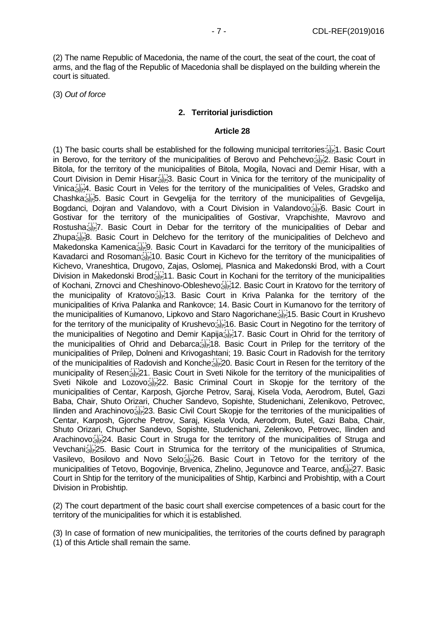(2) The name Republic of Macedonia, the name of the court, the seat of the court, the coat of arms, and the flag of the Republic of Macedonia shall be displayed on the building wherein the court is situated.

(3) *Out of force*

#### **2. Territorial jurisdiction**

#### **Article 28**

(1) The basic courts shall be established for the following municipal territories: 1. Basic Court in Berovo, for the territory of the municipalities of Berovo and Pehchevo; EPP 2. Basic Court in Bitola, for the territory of the municipalities of Bitola, Mogila, Novaci and Demir Hisar, with a Court Division in Demir Hisar;<sup>[17]</sup>3. Basic Court in Vinica for the territory of the municipality of Vinica; 4. Basic Court in Veles for the territory of the municipalities of Veles, Gradsko and Chashka; 5. Basic Court in Gevgelija for the territory of the municipalities of Gevgelija, Bogdanci, Doiran and Valandovo, with a Court Division in Valandovo; For Basic Court in Gostivar for the territory of the municipalities of Gostivar, Vrapchishte, Mavrovo and Rostusha;<sup>17</sup><sub>17</sub>7. Basic Court in Debar for the territory of the municipalities of Debar and Zhupa; [FR 3]. Basic Court in Delchevo for the territory of the municipalities of Delchevo and Makedonska Kamenica; Fig. Basic Court in Kavadarci for the territory of the municipalities of Kavadarci and Rosoman; 10. Basic Court in Kichevo for the territory of the municipalities of Kichevo, Vraneshtica, Drugovo, Zajas, Oslomej, Plasnica and Makedonski Brod, with a Court Division in Makedonski Brod;<sup>[1]</sup>;<sup>1</sup>1. Basic Court in Kochani for the territory of the municipalities of Kochani, Zrnovci and Cheshinovo-Obleshevo; [17] 12. Basic Court in Kratovo for the territory of the municipality of Kratovo; 13. Basic Court in Kriva Palanka for the territory of the municipalities of Kriva Palanka and Rankovce; 14. Basic Court in Kumanovo for the territory of the municipalities of Kumanovo, Lipkovo and Staro Nagorichane; 15. Basic Court in Krushevo for the territory of the municipality of Krushevo;<sup>111</sup>16. Basic Court in Negotino for the territory of the municipalities of Negotino and Demir Kapija; 17. Basic Court in Ohrid for the territory of the municipalities of Ohrid and Debarca; 18. Basic Court in Prilep for the territory of the municipalities of Prilep, Dolneni and Krivogashtani; 19. Basic Court in Radovish for the territory of the municipalities of Radovish and Konche; 20. Basic Court in Resen for the territory of the municipality of Resen; 21. Basic Court in Sveti Nikole for the territory of the municipalities of Sveti Nikole and Lozovo; 22. Basic Criminal Court in Skopje for the territory of the municipalities of Centar, Karposh, Gjorche Petrov, Saraj, Kisela Voda, Aerodrom, Butel, Gazi Baba, Chair, Shuto Orizari, Chucher Sandevo, Sopishte, Studenichani, Zelenikovo, Petrovec, Ilinden and Arachinovo; 23. Basic Civil Court Skopje for the territories of the municipalities of Centar, Karposh, Gjorche Petrov, Saraj, Kisela Voda, Aerodrom, Butel, Gazi Baba, Chair, Shuto Orizari, Chucher Sandevo, Sopishte, Studenichani, Zelenikovo, Petrovec, Ilinden and Arachinovo; 24. Basic Court in Struga for the territory of the municipalities of Struga and Vevchani; 25. Basic Court in Strumica for the territory of the municipalities of Strumica, Vasilevo, Bosilovo and Novo Selo; 26. Basic Court in Tetovo for the territory of the municipalities of Tetovo, Bogovinje, Brvenica, Zhelino, Jegunovce and Tearce, and  $\overline{\text{Ser}}$  27. Basic Court in Shtip for the territory of the municipalities of Shtip, Karbinci and Probishtip, with a Court Division in Probishtip.

(2) The court department of the basic court shall exercise competences of a basic court for the territory of the municipalities for which it is established.

(3) In case of formation of new municipalities, the territories of the courts defined by paragraph (1) of this Article shall remain the same.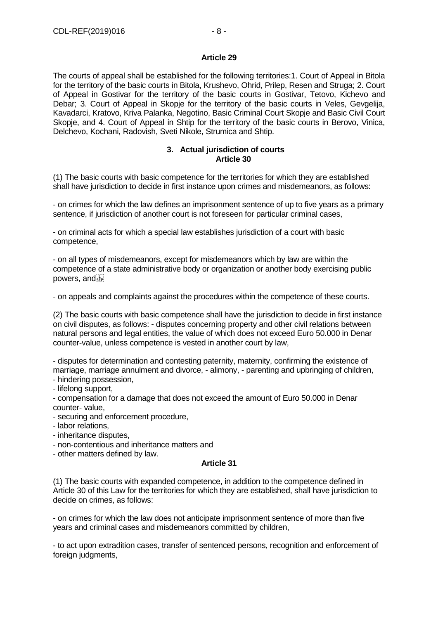#### **Article 29**

The courts of appeal shall be established for the following territories:1. Court of Appeal in Bitola for the territory of the basic courts in Bitola, Krushevo, Ohrid, Prilep, Resen and Struga; 2. Court of Appeal in Gostivar for the territory of the basic courts in Gostivar, Tetovo, Kichevo and Debar; 3. Court of Appeal in Skopje for the territory of the basic courts in Veles, Gevgelija, Kavadarci, Kratovo, Kriva Palanka, Negotino, Basic Criminal Court Skopje and Basic Civil Court Skopje, and 4. Court of Appeal in Shtip for the territory of the basic courts in Berovo, Vinica, Delchevo, Kochani, Radovish, Sveti Nikole, Strumica and Shtip.

#### **3. Actual jurisdiction of courts Article 30**

(1) The basic courts with basic competence for the territories for which they are established shall have jurisdiction to decide in first instance upon crimes and misdemeanors, as follows:

- on crimes for which the law defines an imprisonment sentence of up to five years as a primary sentence, if jurisdiction of another court is not foreseen for particular criminal cases,

- on criminal acts for which a special law establishes jurisdiction of a court with basic competence,

- on all types of misdemeanors, except for misdemeanors which by law are within the competence of a state administrative body or organization or another body exercising public powers, and see!

- on appeals and complaints against the procedures within the competence of these courts.

(2) The basic courts with basic competence shall have the jurisdiction to decide in first instance on civil disputes, as follows: - disputes concerning property and other civil relations between natural persons and legal entities, the value of which does not exceed Euro 50.000 in Denar counter-value, unless competence is vested in another court by law,

- disputes for determination and contesting paternity, maternity, confirming the existence of marriage, marriage annulment and divorce, - alimony, - parenting and upbringing of children,

- hindering possession,

- lifelong support,

- compensation for a damage that does not exceed the amount of Euro 50.000 in Denar counter- value,

- securing and enforcement procedure,

- labor relations,

- inheritance disputes,

- non-contentious and inheritance matters and

- other matters defined by law.

# **Article 31**

(1) The basic courts with expanded competence, in addition to the competence defined in Article 30 of this Law for the territories for which they are established, shall have jurisdiction to decide on crimes, as follows:

- on crimes for which the law does not anticipate imprisonment sentence of more than five years and criminal cases and misdemeanors committed by children,

- to act upon extradition cases, transfer of sentenced persons, recognition and enforcement of foreign judgments,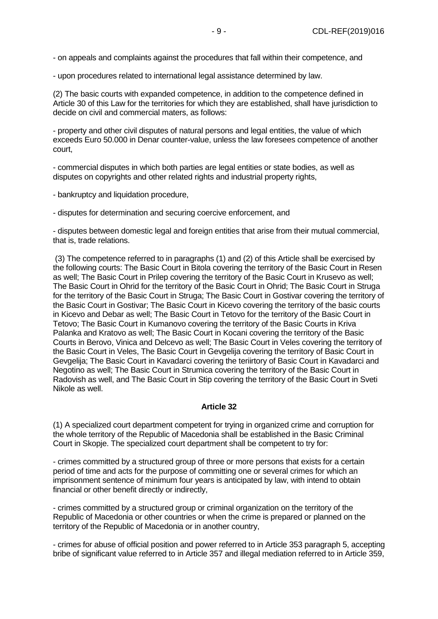- on appeals and complaints against the procedures that fall within their competence, and

- upon procedures related to international legal assistance determined by law.

(2) The basic courts with expanded competence, in addition to the competence defined in Article 30 of this Law for the territories for which they are established, shall have jurisdiction to decide on civil and commercial maters, as follows:

- property and other civil disputes of natural persons and legal entities, the value of which exceeds Euro 50.000 in Denar counter-value, unless the law foresees competence of another court,

- commercial disputes in which both parties are legal entities or state bodies, as well as disputes on copyrights and other related rights and industrial property rights,

- bankruptcy and liquidation procedure,

- disputes for determination and securing coercive enforcement, and

- disputes between domestic legal and foreign entities that arise from their mutual commercial, that is, trade relations.

(3) The competence referred to in paragraphs (1) and (2) of this Article shall be exercised by the following courts: The Basic Court in Bitola covering the territory of the Basic Court in Resen as well; The Basic Court in Prilep covering the territory of the Basic Court in Krusevo as well; The Basic Court in Ohrid for the territory of the Basic Court in Ohrid; The Basic Court in Struga for the territory of the Basic Court in Struga; The Basic Court in Gostivar covering the territory of the Basic Court in Gostivar; The Basic Court in Kicevo covering the territory of the basic courts in Kicevo and Debar as well; The Basic Court in Tetovo for the territory of the Basic Court in Tetovo; The Basic Court in Kumanovo covering the territory of the Basic Courts in Kriva Palanka and Kratovo as well; The Basic Court in Kocani covering the territory of the Basic Courts in Berovo, Vinica and Delcevo as well; The Basic Court in Veles covering the territory of the Basic Court in Veles, The Basic Court in Gevgelija covering the territory of Basic Court in Gevgelija; The Basic Court in Kavadarci covering the teriirtory of Basic Court in Kavadarci and Negotino as well; The Basic Court in Strumica covering the territory of the Basic Court in Radovish as well, and The Basic Court in Stip covering the territory of the Basic Court in Sveti Nikole as well.

# **Article 32**

(1) A specialized court department competent for trying in organized crime and corruption for the whole territory of the Republic of Macedonia shall be established in the Basic Criminal Court in Skopje. The specialized court department shall be competent to try for:

- crimes committed by a structured group of three or more persons that exists for a certain period of time and acts for the purpose of committing one or several crimes for which an imprisonment sentence of minimum four years is anticipated by law, with intend to obtain financial or other benefit directly or indirectly,

- crimes committed by a structured group or criminal organization on the territory of the Republic of Macedonia or other countries or when the crime is prepared or planned on the territory of the Republic of Macedonia or in another country,

- crimes for abuse of official position and power referred to in Article 353 paragraph 5, accepting bribe of significant value referred to in Article 357 and illegal mediation referred to in Article 359,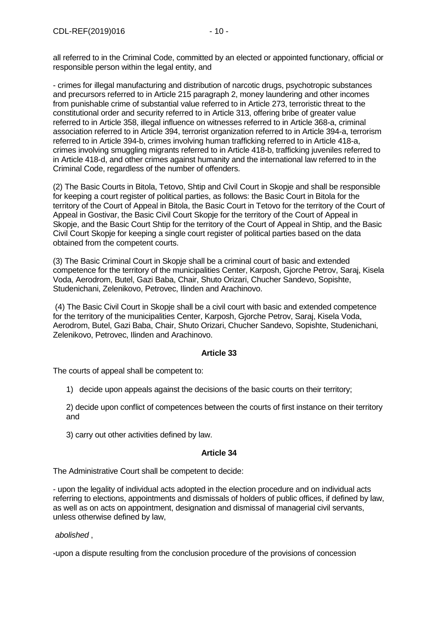all referred to in the Criminal Code, committed by an elected or appointed functionary, official or responsible person within the legal entity, and

- crimes for illegal manufacturing and distribution of narcotic drugs, psychotropic substances and precursors referred to in Article 215 paragraph 2, money laundering and other incomes from punishable crime of substantial value referred to in Article 273, terroristic threat to the constitutional order and security referred to in Article 313, offering bribe of greater value referred to in Article 358, illegal influence on witnesses referred to in Article 368-a, criminal association referred to in Article 394, terrorist organization referred to in Article 394-a, terrorism referred to in Article 394-b, crimes involving human trafficking referred to in Article 418-a, crimes involving smuggling migrants referred to in Article 418-b, trafficking juveniles referred to in Article 418-d, and other crimes against humanity and the international law referred to in the Criminal Code, regardless of the number of offenders.

(2) The Basic Courts in Bitola, Tetovo, Shtip and Civil Court in Skopje and shall be responsible for keeping a court register of political parties, as follows: the Basic Court in Bitola for the territory of the Court of Appeal in Bitola, the Basic Court in Tetovo for the territory of the Court of Appeal in Gostivar, the Basic Civil Court Skopje for the territory of the Court of Appeal in Skopje, and the Basic Court Shtip for the territory of the Court of Appeal in Shtip, and the Basic Civil Court Skopje for keeping a single court register of political parties based on the data obtained from the competent courts.

(3) The Basic Criminal Court in Skopje shall be a criminal court of basic and extended competence for the territory of the municipalities Center, Karposh, Gjorche Petrov, Saraj, Kisela Voda, Aerodrom, Butel, Gazi Baba, Chair, Shuto Orizari, Chucher Sandevo, Sopishte, Studenichani, Zelenikovo, Petrovec, Ilinden and Arachinovo.

(4) The Basic Civil Court in Skopje shall be a civil court with basic and extended competence for the territory of the municipalities Center, Karposh, Gjorche Petrov, Saraj, Kisela Voda, Aerodrom, Butel, Gazi Baba, Chair, Shuto Orizari, Chucher Sandevo, Sopishte, Studenichani, Zelenikovo, Petrovec, Ilinden and Arachinovo.

# **Article 33**

The courts of appeal shall be competent to:

1) decide upon appeals against the decisions of the basic courts on their territory;

2) decide upon conflict of competences between the courts of first instance on their territory and

3) carry out other activities defined by law.

#### **Article 34**

The Administrative Court shall be competent to decide:

- upon the legality of individual acts adopted in the election procedure and on individual acts referring to elections, appointments and dismissals of holders of public offices, if defined by law, as well as on acts on appointment, designation and dismissal of managerial civil servants, unless otherwise defined by law,

*abolished* ,

-upon a dispute resulting from the conclusion procedure of the provisions of concession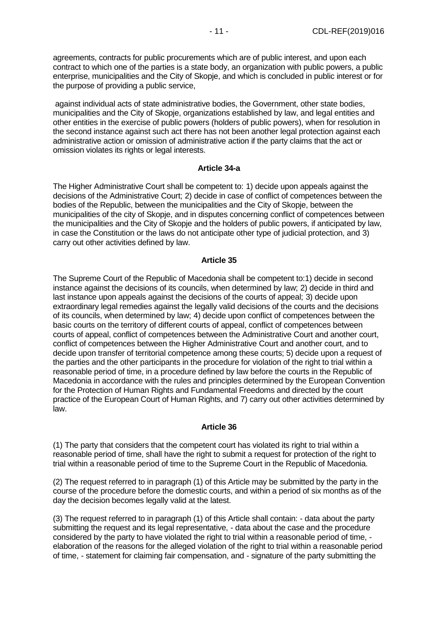agreements, contracts for public procurements which are of public interest, and upon each contract to which one of the parties is a state body, an organization with public powers, a public enterprise, municipalities and the City of Skopje, and which is concluded in public interest or for the purpose of providing a public service,

against individual acts of state administrative bodies, the Government, other state bodies, municipalities and the City of Skopje, organizations established by law, and legal entities and other entities in the exercise of public powers (holders of public powers), when for resolution in the second instance against such act there has not been another legal protection against each administrative action or omission of administrative action if the party claims that the act or omission violates its rights or legal interests.

#### **Article 34-a**

The Higher Administrative Court shall be competent to: 1) decide upon appeals against the decisions of the Administrative Court; 2) decide in case of conflict of competences between the bodies of the Republic, between the municipalities and the City of Skopje, between the municipalities of the city of Skopje, and in disputes concerning conflict of competences between the municipalities and the City of Skopje and the holders of public powers, if anticipated by law, in case the Constitution or the laws do not anticipate other type of judicial protection, and 3) carry out other activities defined by law.

#### **Article 35**

The Supreme Court of the Republic of Macedonia shall be competent to:1) decide in second instance against the decisions of its councils, when determined by law; 2) decide in third and last instance upon appeals against the decisions of the courts of appeal; 3) decide upon extraordinary legal remedies against the legally valid decisions of the courts and the decisions of its councils, when determined by law; 4) decide upon conflict of competences between the basic courts on the territory of different courts of appeal, conflict of competences between courts of appeal, conflict of competences between the Administrative Court and another court, conflict of competences between the Higher Administrative Court and another court, and to decide upon transfer of territorial competence among these courts; 5) decide upon a request of the parties and the other participants in the procedure for violation of the right to trial within a reasonable period of time, in a procedure defined by law before the courts in the Republic of Macedonia in accordance with the rules and principles determined by the European Convention for the Protection of Human Rights and Fundamental Freedoms and directed by the court practice of the European Court of Human Rights, and 7) carry out other activities determined by law.

#### **Article 36**

(1) The party that considers that the competent court has violated its right to trial within a reasonable period of time, shall have the right to submit a request for protection of the right to trial within a reasonable period of time to the Supreme Court in the Republic of Macedonia.

(2) The request referred to in paragraph (1) of this Article may be submitted by the party in the course of the procedure before the domestic courts, and within a period of six months as of the day the decision becomes legally valid at the latest.

(3) The request referred to in paragraph (1) of this Article shall contain: - data about the party submitting the request and its legal representative, - data about the case and the procedure considered by the party to have violated the right to trial within a reasonable period of time, elaboration of the reasons for the alleged violation of the right to trial within a reasonable period of time, - statement for claiming fair compensation, and - signature of the party submitting the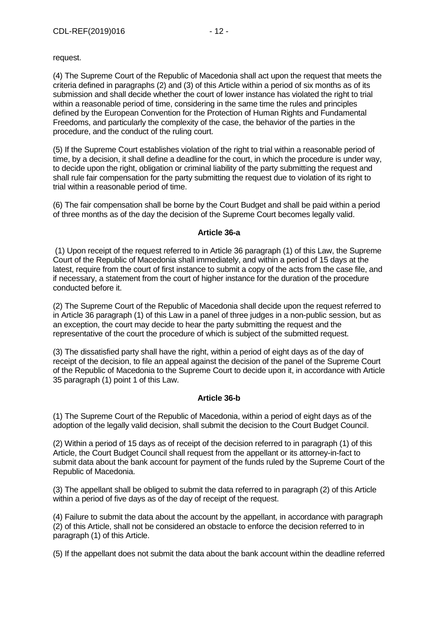request.

(4) The Supreme Court of the Republic of Macedonia shall act upon the request that meets the criteria defined in paragraphs (2) and (3) of this Article within a period of six months as of its submission and shall decide whether the court of lower instance has violated the right to trial within a reasonable period of time, considering in the same time the rules and principles defined by the European Convention for the Protection of Human Rights and Fundamental Freedoms, and particularly the complexity of the case, the behavior of the parties in the procedure, and the conduct of the ruling court.

(5) If the Supreme Court establishes violation of the right to trial within a reasonable period of time, by a decision, it shall define a deadline for the court, in which the procedure is under way, to decide upon the right, obligation or criminal liability of the party submitting the request and shall rule fair compensation for the party submitting the request due to violation of its right to trial within a reasonable period of time.

(6) The fair compensation shall be borne by the Court Budget and shall be paid within a period of three months as of the day the decision of the Supreme Court becomes legally valid.

#### **Article 36-a**

(1) Upon receipt of the request referred to in Article 36 paragraph (1) of this Law, the Supreme Court of the Republic of Macedonia shall immediately, and within a period of 15 days at the latest, require from the court of first instance to submit a copy of the acts from the case file, and if necessary, a statement from the court of higher instance for the duration of the procedure conducted before it.

(2) The Supreme Court of the Republic of Macedonia shall decide upon the request referred to in Article 36 paragraph (1) of this Law in a panel of three judges in a non-public session, but as an exception, the court may decide to hear the party submitting the request and the representative of the court the procedure of which is subject of the submitted request.

(3) The dissatisfied party shall have the right, within a period of eight days as of the day of receipt of the decision, to file an appeal against the decision of the panel of the Supreme Court of the Republic of Macedonia to the Supreme Court to decide upon it, in accordance with Article 35 paragraph (1) point 1 of this Law.

# **Article 36-b**

(1) The Supreme Court of the Republic of Macedonia, within a period of eight days as of the adoption of the legally valid decision, shall submit the decision to the Court Budget Council.

(2) Within a period of 15 days as of receipt of the decision referred to in paragraph (1) of this Article, the Court Budget Council shall request from the appellant or its attorney-in-fact to submit data about the bank account for payment of the funds ruled by the Supreme Court of the Republic of Macedonia.

(3) The appellant shall be obliged to submit the data referred to in paragraph (2) of this Article within a period of five days as of the day of receipt of the request.

(4) Failure to submit the data about the account by the appellant, in accordance with paragraph (2) of this Article, shall not be considered an obstacle to enforce the decision referred to in paragraph (1) of this Article.

(5) If the appellant does not submit the data about the bank account within the deadline referred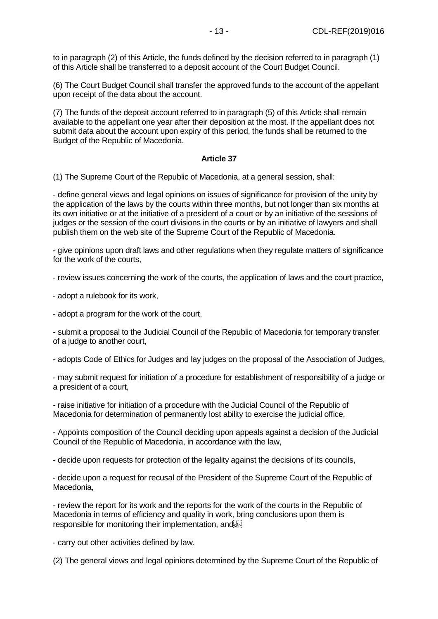to in paragraph (2) of this Article, the funds defined by the decision referred to in paragraph (1) of this Article shall be transferred to a deposit account of the Court Budget Council.

(6) The Court Budget Council shall transfer the approved funds to the account of the appellant upon receipt of the data about the account.

(7) The funds of the deposit account referred to in paragraph (5) of this Article shall remain available to the appellant one year after their deposition at the most. If the appellant does not submit data about the account upon expiry of this period, the funds shall be returned to the Budget of the Republic of Macedonia.

#### **Article 37**

(1) The Supreme Court of the Republic of Macedonia, at a general session, shall:

- define general views and legal opinions on issues of significance for provision of the unity by the application of the laws by the courts within three months, but not longer than six months at its own initiative or at the initiative of a president of a court or by an initiative of the sessions of judges or the session of the court divisions in the courts or by an initiative of lawyers and shall publish them on the web site of the Supreme Court of the Republic of Macedonia.

- give opinions upon draft laws and other regulations when they regulate matters of significance for the work of the courts,

- review issues concerning the work of the courts, the application of laws and the court practice,

- adopt a rulebook for its work,

- adopt a program for the work of the court,

- submit a proposal to the Judicial Council of the Republic of Macedonia for temporary transfer of a judge to another court,

- adopts Code of Ethics for Judges and lay judges on the proposal of the Association of Judges,

- may submit request for initiation of a procedure for establishment of responsibility of a judge or a president of a court,

- raise initiative for initiation of a procedure with the Judicial Council of the Republic of Macedonia for determination of permanently lost ability to exercise the judicial office,

- Appoints composition of the Council deciding upon appeals against a decision of the Judicial Council of the Republic of Macedonia, in accordance with the law,

- decide upon requests for protection of the legality against the decisions of its councils,

- decide upon a request for recusal of the President of the Supreme Court of the Republic of Macedonia,

- review the report for its work and the reports for the work of the courts in the Republic of Macedonia in terms of efficiency and quality in work, bring conclusions upon them is responsible for monitoring their implementation, and  $\overline{S}^{\text{tr}}$ 

- carry out other activities defined by law.

(2) The general views and legal opinions determined by the Supreme Court of the Republic of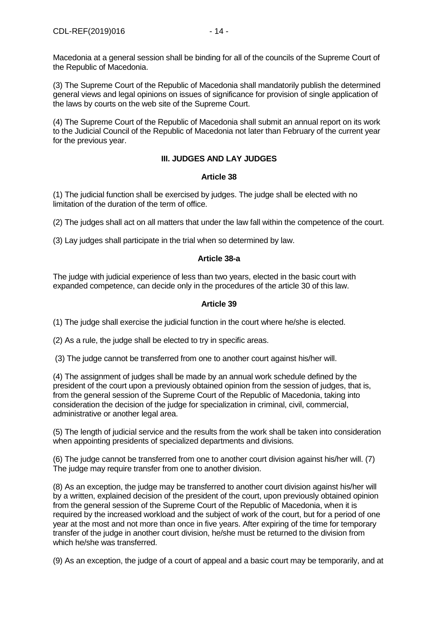(3) The Supreme Court of the Republic of Macedonia shall mandatorily publish the determined general views and legal opinions on issues of significance for provision of single application of the laws by courts on the web site of the Supreme Court.

(4) The Supreme Court of the Republic of Macedonia shall submit an annual report on its work to the Judicial Council of the Republic of Macedonia not later than February of the current year for the previous year.

# **III. JUDGES AND LAY JUDGES**

# **Article 38**

(1) The judicial function shall be exercised by judges. The judge shall be elected with no limitation of the duration of the term of office.

(2) The judges shall act on all matters that under the law fall within the competence of the court.

(3) Lay judges shall participate in the trial when so determined by law.

# **Article 38-a**

The judge with judicial experience of less than two years, elected in the basic court with expanded competence, can decide only in the procedures of the article 30 of this law.

# **Article 39**

(1) The judge shall exercise the judicial function in the court where he/she is elected.

(2) As a rule, the judge shall be elected to try in specific areas.

(3) The judge cannot be transferred from one to another court against his/her will.

(4) The assignment of judges shall be made by an annual work schedule defined by the president of the court upon a previously obtained opinion from the session of judges, that is, from the general session of the Supreme Court of the Republic of Macedonia, taking into consideration the decision of the judge for specialization in criminal, civil, commercial, administrative or another legal area.

(5) The length of judicial service and the results from the work shall be taken into consideration when appointing presidents of specialized departments and divisions.

(6) The judge cannot be transferred from one to another court division against his/her will. (7) The judge may require transfer from one to another division.

(8) As an exception, the judge may be transferred to another court division against his/her will by a written, explained decision of the president of the court, upon previously obtained opinion from the general session of the Supreme Court of the Republic of Macedonia, when it is required by the increased workload and the subject of work of the court, but for a period of one year at the most and not more than once in five years. After expiring of the time for temporary transfer of the judge in another court division, he/she must be returned to the division from which he/she was transferred.

(9) As an exception, the judge of a court of appeal and a basic court may be temporarily, and at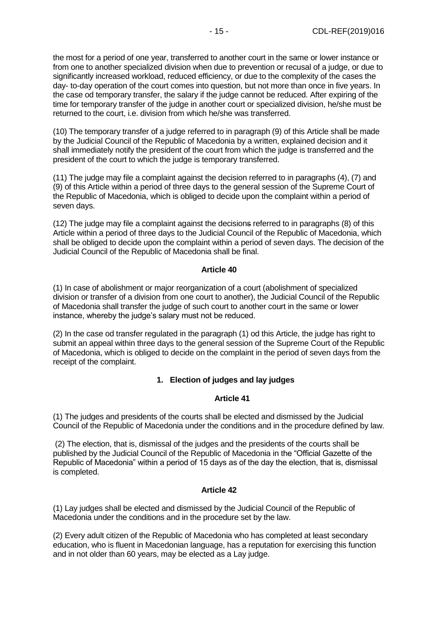the most for a period of one year, transferred to another court in the same or lower instance or from one to another specialized division when due to prevention or recusal of a judge, or due to significantly increased workload, reduced efficiency, or due to the complexity of the cases the day- to-day operation of the court comes into question, but not more than once in five years. In the case od temporary transfer, the salary if the judge cannot be reduced. After expiring of the time for temporary transfer of the judge in another court or specialized division, he/she must be returned to the court, i.e. division from which he/she was transferred.

(10) The temporary transfer of a judge referred to in paragraph (9) of this Article shall be made by the Judicial Council of the Republic of Macedonia by a written, explained decision and it shall immediately notify the president of the court from which the judge is transferred and the president of the court to which the judge is temporary transferred.

(11) The judge may file a complaint against the decision referred to in paragraphs (4), (7) and (9) of this Article within a period of three days to the general session of the Supreme Court of the Republic of Macedonia, which is obliged to decide upon the complaint within a period of seven days.

(12) The judge may file a complaint against the decisions referred to in paragraphs (8) of this Article within a period of three days to the Judicial Council of the Republic of Macedonia, which shall be obliged to decide upon the complaint within a period of seven days. The decision of the Judicial Council of the Republic of Macedonia shall be final.

#### **Article 40**

(1) In case of abolishment or major reorganization of a court (abolishment of specialized division or transfer of a division from one court to another), the Judicial Council of the Republic of Macedonia shall transfer the judge of such court to another court in the same or lower instance, whereby the judge's salary must not be reduced.

(2) In the case od transfer regulated in the paragraph (1) od this Article, the judge has right to submit an appeal within three days to the general session of the Supreme Court of the Republic of Macedonia, which is obliged to decide on the complaint in the period of seven days from the receipt of the complaint.

# **1. Election of judges and lay judges**

# **Article 41**

(1) The judges and presidents of the courts shall be elected and dismissed by the Judicial Council of the Republic of Macedonia under the conditions and in the procedure defined by law.

(2) The election, that is, dismissal of the judges and the presidents of the courts shall be published by the Judicial Council of the Republic of Macedonia in the "Official Gazette of the Republic of Macedonia" within a period of 15 days as of the day the election, that is, dismissal is completed.

# **Article 42**

(1) Lay judges shall be elected and dismissed by the Judicial Council of the Republic of Macedonia under the conditions and in the procedure set by the law.

(2) Every adult citizen of the Republic of Macedonia who has completed at least secondary education, who is fluent in Macedonian language, has a reputation for exercising this function and in not older than 60 years, may be elected as a Lay judge.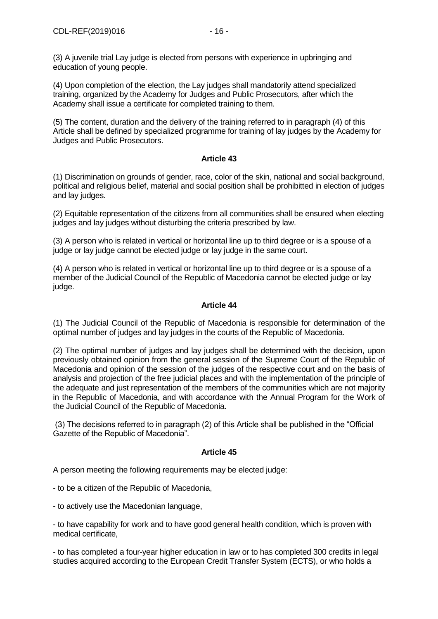(3) A juvenile trial Lay judge is elected from persons with experience in upbringing and education of young people.

(4) Upon completion of the election, the Lay judges shall mandatorily attend specialized training, organized by the Academy for Judges and Public Prosecutors, after which the Academy shall issue a certificate for completed training to them.

(5) The content, duration and the delivery of the training referred to in paragraph (4) of this Article shall be defined by specialized programme for training of lay judges by the Academy for Judges and Public Prosecutors.

# **Article 43**

(1) Discrimination on grounds of gender, race, color of the skin, national and social background, political and religious belief, material and social position shall be prohibitted in election of judges and lay judges.

(2) Equitable representation of the citizens from all communities shall be ensured when electing judges and lay judges without disturbing the criteria prescribed by law.

(3) A person who is related in vertical or horizontal line up to third degree or is a spouse of a judge or lay judge cannot be elected judge or lay judge in the same court.

(4) A person who is related in vertical or horizontal line up to third degree or is a spouse of a member of the Judicial Council of the Republic of Macedonia cannot be elected judge or lay judge.

#### **Article 44**

(1) The Judicial Council of the Republic of Macedonia is responsible for determination of the optimal number of judges and lay judges in the courts of the Republic of Macedonia.

(2) The optimal number of judges and lay judges shall be determined with the decision, upon previously obtained opinion from the general session of the Supreme Court of the Republic of Macedonia and opinion of the session of the judges of the respective court and on the basis of analysis and projection of the free judicial places and with the implementation of the principle of the adequate and just representation of the members of the communities which are not majority in the Republic of Macedonia, and with accordance with the Annual Program for the Work of the Judicial Council of the Republic of Macedonia.

(3) The decisions referred to in paragraph (2) of this Article shall be published in the "Official Gazette of the Republic of Macedonia".

#### **Article 45**

A person meeting the following requirements may be elected judge:

- to be a citizen of the Republic of Macedonia,

- to actively use the Macedonian language,

- to have capability for work and to have good general health condition, which is proven with medical certificate,

- to has completed a four-year higher education in law or to has completed 300 credits in legal studies acquired according to the European Credit Transfer System (ECTS), or who holds a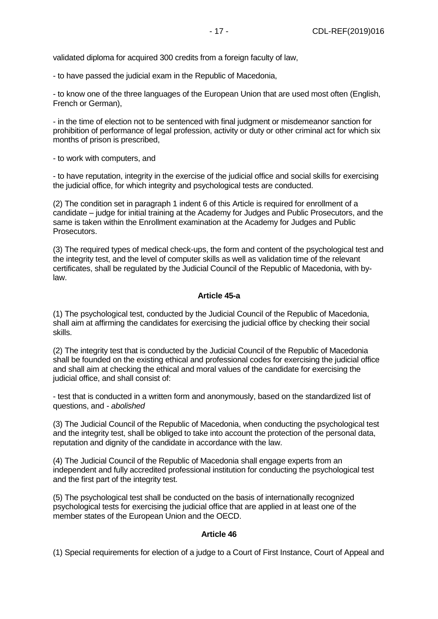validated diploma for acquired 300 credits from a foreign faculty of law,

- to have passed the judicial exam in the Republic of Macedonia,

- to know one of the three languages of the European Union that are used most often (English, French or German),

- in the time of election not to be sentenced with final judgment or misdemeanor sanction for prohibition of performance of legal profession, activity or duty or other criminal act for which six months of prison is prescribed,

- to work with computers, and

- to have reputation, integrity in the exercise of the judicial office and social skills for exercising the judicial office, for which integrity and psychological tests are conducted.

(2) The condition set in paragraph 1 indent 6 of this Article is required for enrollment of a candidate – judge for initial training at the Academy for Judges and Public Prosecutors, and the same is taken within the Enrollment examination at the Academy for Judges and Public Prosecutors.

(3) The required types of medical check-ups, the form and content of the psychological test and the integrity test, and the level of computer skills as well as validation time of the relevant certificates, shall be regulated by the Judicial Council of the Republic of Macedonia, with bylaw.

#### **Article 45-a**

(1) The psychological test, conducted by the Judicial Council of the Republic of Macedonia, shall aim at affirming the candidates for exercising the judicial office by checking their social skills.

(2) The integrity test that is conducted by the Judicial Council of the Republic of Macedonia shall be founded on the existing ethical and professional codes for exercising the judicial office and shall aim at checking the ethical and moral values of the candidate for exercising the judicial office, and shall consist of:

- test that is conducted in a written form and anonymously, based on the standardized list of questions, and - *abolished*

(3) The Judicial Council of the Republic of Macedonia, when conducting the psychological test and the integrity test, shall be obliged to take into account the protection of the personal data, reputation and dignity of the candidate in accordance with the law.

(4) The Judicial Council of the Republic of Macedonia shall engage experts from an independent and fully accredited professional institution for conducting the psychological test and the first part of the integrity test.

(5) The psychological test shall be conducted on the basis of internationally recognized psychological tests for exercising the judicial office that are applied in at least one of the member states of the European Union and the OECD.

#### **Article 46**

(1) Special requirements for election of a judge to a Court of First Instance, Court of Appeal and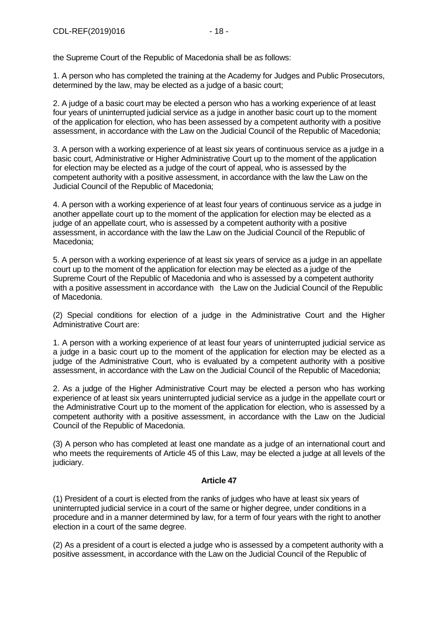the Supreme Court of the Republic of Macedonia shall be as follows:

1. A person who has completed the training at the Academy for Judges and Public Prosecutors, determined by the law, may be elected as a judge of a basic court;

2. A judge of a basic court may be elected a person who has a working experience of at least four years of uninterrupted judicial service as a judge in another basic court up to the moment of the application for election, who has been assessed by a competent authority with a positive assessment, in accordance with the Law on the Judicial Council of the Republic of Macedonia;

3. A person with a working experience of at least six years of continuous service as a judge in a basic court, Administrative or Higher Administrative Court up to the moment of the application for election may be elected as a judge of the court of appeal, who is assessed by the competent authority with a positive assessment, in accordance with the law the Law on the Judicial Council of the Republic of Macedonia;

4. A person with a working experience of at least four years of continuous service as a judge in another appellate court up to the moment of the application for election may be elected as a judge of an appellate court, who is assessed by a competent authority with a positive assessment, in accordance with the law the Law on the Judicial Council of the Republic of Macedonia;

5. A person with a working experience of at least six years of service as a judge in an appellate court up to the moment of the application for election may be elected as a judge of the Supreme Court of the Republic of Macedonia and who is assessed by a competent authority with a positive assessment in accordance with the Law on the Judicial Council of the Republic of Macedonia.

(2) Special conditions for election of a judge in the Administrative Court and the Higher Administrative Court are:

1. A person with a working experience of at least four years of uninterrupted judicial service as a judge in a basic court up to the moment of the application for election may be elected as a judge of the Administrative Court, who is evaluated by a competent authority with a positive assessment, in accordance with the Law on the Judicial Council of the Republic of Macedonia;

2. As a judge of the Higher Administrative Court may be elected a person who has working experience of at least six years uninterrupted judicial service as a judge in the appellate court or the Administrative Court up to the moment of the application for election, who is assessed by a competent authority with a positive assessment, in accordance with the Law on the Judicial Council of the Republic of Macedonia.

(3) A person who has completed at least one mandate as a judge of an international court and who meets the requirements of Article 45 of this Law, may be elected a judge at all levels of the judiciary.

# **Article 47**

(1) President of a court is elected from the ranks of judges who have at least six years of uninterrupted judicial service in a court of the same or higher degree, under conditions in a procedure and in a manner determined by law, for a term of four years with the right to another election in a court of the same degree.

(2) As a president of a court is elected a judge who is assessed by a competent authority with a positive assessment, in accordance with the Law on the Judicial Council of the Republic of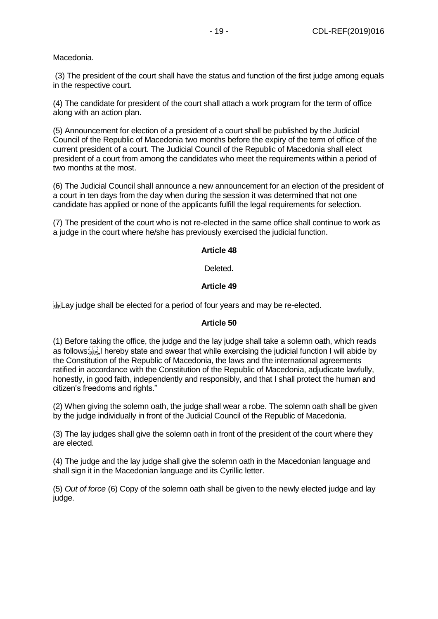Macedonia.

(3) The president of the court shall have the status and function of the first judge among equals in the respective court.

(4) The candidate for president of the court shall attach a work program for the term of office along with an action plan.

(5) Announcement for election of a president of a court shall be published by the Judicial Council of the Republic of Macedonia two months before the expiry of the term of office of the current president of a court. The Judicial Council of the Republic of Macedonia shall elect president of a court from among the candidates who meet the requirements within a period of two months at the most.

(6) The Judicial Council shall announce a new announcement for an election of the president of a court in ten days from the day when during the session it was determined that not one candidate has applied or none of the applicants fulfill the legal requirements for selection.

(7) The president of the court who is not re-elected in the same office shall continue to work as a judge in the court where he/she has previously exercised the judicial function.

#### **Article 48**

Deleted**.**

#### **Article 49**

 $\frac{1}{35}$  Lay judge shall be elected for a period of four years and may be re-elected.

#### **Article 50**

(1) Before taking the office, the judge and the lay judge shall take a solemn oath, which reads as follows: Fig. I hereby state and swear that while exercising the judicial function I will abide by the Constitution of the Republic of Macedonia, the laws and the international agreements ratified in accordance with the Constitution of the Republic of Macedonia, adjudicate lawfully, honestly, in good faith, independently and responsibly, and that I shall protect the human and citizen's freedoms and rights."

(2) When giving the solemn oath, the judge shall wear a robe. The solemn oath shall be given by the judge individually in front of the Judicial Council of the Republic of Macedonia.

(3) The lay judges shall give the solemn oath in front of the president of the court where they are elected.

(4) The judge and the lay judge shall give the solemn oath in the Macedonian language and shall sign it in the Macedonian language and its Cyrillic letter.

(5) *Out of force* (6) Copy of the solemn oath shall be given to the newly elected judge and lay judge.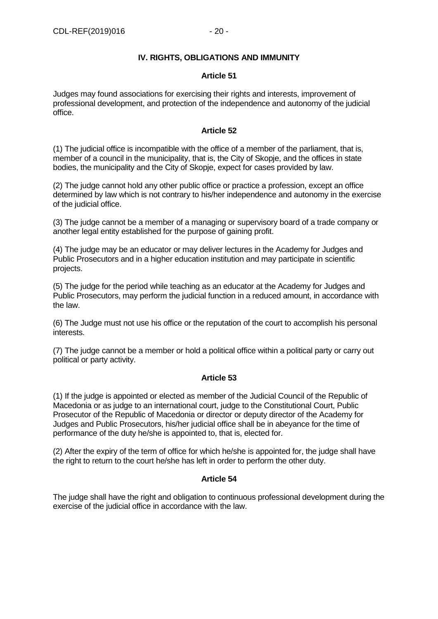# **IV. RIGHTS, OBLIGATIONS AND IMMUNITY**

#### **Article 51**

Judges may found associations for exercising their rights and interests, improvement of professional development, and protection of the independence and autonomy of the judicial office.

#### **Article 52**

(1) The judicial office is incompatible with the office of a member of the parliament, that is, member of a council in the municipality, that is, the City of Skopje, and the offices in state bodies, the municipality and the City of Skopje, expect for cases provided by law.

(2) The judge cannot hold any other public office or practice a profession, except an office determined by law which is not contrary to his/her independence and autonomy in the exercise of the judicial office.

(3) The judge cannot be a member of a managing or supervisory board of a trade company or another legal entity established for the purpose of gaining profit.

(4) The judge may be an educator or may deliver lectures in the Academy for Judges and Public Prosecutors and in a higher education institution and may participate in scientific projects.

(5) The judge for the period while teaching as an educator at the Academy for Judges and Public Prosecutors, may perform the judicial function in a reduced amount, in accordance with the law.

(6) The Judge must not use his office or the reputation of the court to accomplish his personal interests.

(7) The judge cannot be a member or hold a political office within a political party or carry out political or party activity.

# **Article 53**

(1) If the judge is appointed or elected as member of the Judicial Council of the Republic of Macedonia or as judge to an international court, judge to the Constitutional Court, Public Prosecutor of the Republic of Macedonia or director or deputy director of the Academy for Judges and Public Prosecutors, his/her judicial office shall be in abeyance for the time of performance of the duty he/she is appointed to, that is, elected for.

(2) After the expiry of the term of office for which he/she is appointed for, the judge shall have the right to return to the court he/she has left in order to perform the other duty.

# **Article 54**

The judge shall have the right and obligation to continuous professional development during the exercise of the judicial office in accordance with the law.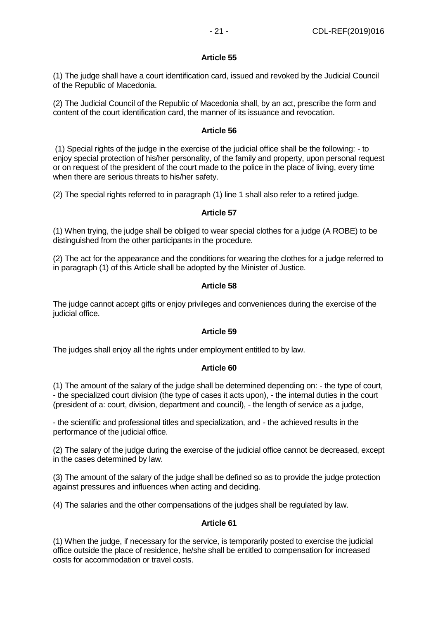# **Article 55**

(1) The judge shall have a court identification card, issued and revoked by the Judicial Council of the Republic of Macedonia.

(2) The Judicial Council of the Republic of Macedonia shall, by an act, prescribe the form and content of the court identification card, the manner of its issuance and revocation.

#### **Article 56**

(1) Special rights of the judge in the exercise of the judicial office shall be the following: - to enjoy special protection of his/her personality, of the family and property, upon personal request or on request of the president of the court made to the police in the place of living, every time when there are serious threats to his/her safety.

(2) The special rights referred to in paragraph (1) line 1 shall also refer to a retired judge.

#### **Article 57**

(1) When trying, the judge shall be obliged to wear special clothes for a judge (A ROBE) to be distinguished from the other participants in the procedure.

(2) The act for the appearance and the conditions for wearing the clothes for a judge referred to in paragraph (1) of this Article shall be adopted by the Minister of Justice.

#### **Article 58**

The judge cannot accept gifts or enjoy privileges and conveniences during the exercise of the judicial office.

# **Article 59**

The judges shall enjoy all the rights under employment entitled to by law.

# **Article 60**

(1) The amount of the salary of the judge shall be determined depending on: - the type of court, - the specialized court division (the type of cases it acts upon), - the internal duties in the court (president of a: court, division, department and council), - the length of service as a judge,

- the scientific and professional titles and specialization, and - the achieved results in the performance of the judicial office.

(2) The salary of the judge during the exercise of the judicial office cannot be decreased, except in the cases determined by law.

(3) The amount of the salary of the judge shall be defined so as to provide the judge protection against pressures and influences when acting and deciding.

(4) The salaries and the other compensations of the judges shall be regulated by law.

# **Article 61**

(1) When the judge, if necessary for the service, is temporarily posted to exercise the judicial office outside the place of residence, he/she shall be entitled to compensation for increased costs for accommodation or travel costs.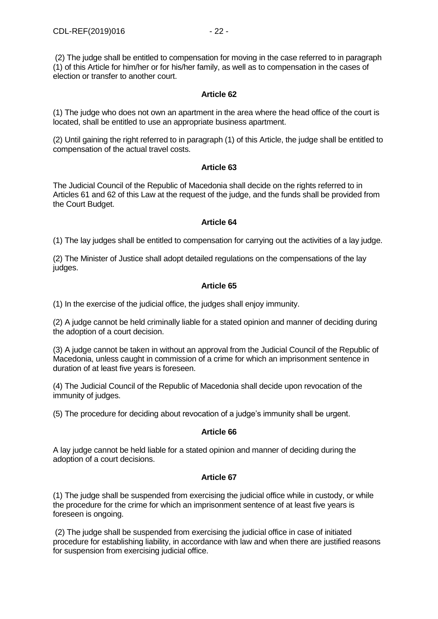(2) The judge shall be entitled to compensation for moving in the case referred to in paragraph (1) of this Article for him/her or for his/her family, as well as to compensation in the cases of election or transfer to another court.

# **Article 62**

(1) The judge who does not own an apartment in the area where the head office of the court is located, shall be entitled to use an appropriate business apartment.

(2) Until gaining the right referred to in paragraph (1) of this Article, the judge shall be entitled to compensation of the actual travel costs.

# **Article 63**

The Judicial Council of the Republic of Macedonia shall decide on the rights referred to in Articles 61 and 62 of this Law at the request of the judge, and the funds shall be provided from the Court Budget.

# **Article 64**

(1) The lay judges shall be entitled to compensation for carrying out the activities of a lay judge.

(2) The Minister of Justice shall adopt detailed regulations on the compensations of the lay judges.

# **Article 65**

(1) In the exercise of the judicial office, the judges shall enjoy immunity.

(2) A judge cannot be held criminally liable for a stated opinion and manner of deciding during the adoption of a court decision.

(3) A judge cannot be taken in without an approval from the Judicial Council of the Republic of Macedonia, unless caught in commission of a crime for which an imprisonment sentence in duration of at least five years is foreseen.

(4) The Judicial Council of the Republic of Macedonia shall decide upon revocation of the immunity of judges.

(5) The procedure for deciding about revocation of a judge's immunity shall be urgent.

# **Article 66**

A lay judge cannot be held liable for a stated opinion and manner of deciding during the adoption of a court decisions.

# **Article 67**

(1) The judge shall be suspended from exercising the judicial office while in custody, or while the procedure for the crime for which an imprisonment sentence of at least five years is foreseen is ongoing.

(2) The judge shall be suspended from exercising the judicial office in case of initiated procedure for establishing liability, in accordance with law and when there are justified reasons for suspension from exercising judicial office.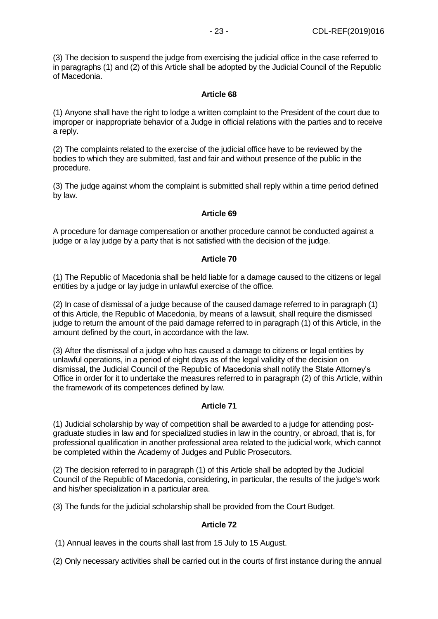(3) The decision to suspend the judge from exercising the judicial office in the case referred to in paragraphs (1) and (2) of this Article shall be adopted by the Judicial Council of the Republic of Macedonia.

# **Article 68**

(1) Anyone shall have the right to lodge a written complaint to the President of the court due to improper or inappropriate behavior of a Judge in official relations with the parties and to receive a reply.

(2) The complaints related to the exercise of the judicial office have to be reviewed by the bodies to which they are submitted, fast and fair and without presence of the public in the procedure.

(3) The judge against whom the complaint is submitted shall reply within a time period defined by law.

# **Article 69**

A procedure for damage compensation or another procedure cannot be conducted against a judge or a lay judge by a party that is not satisfied with the decision of the judge.

#### **Article 70**

(1) The Republic of Macedonia shall be held liable for a damage caused to the citizens or legal entities by a judge or lay judge in unlawful exercise of the office.

(2) In case of dismissal of a judge because of the caused damage referred to in paragraph (1) of this Article, the Republic of Macedonia, by means of a lawsuit, shall require the dismissed judge to return the amount of the paid damage referred to in paragraph (1) of this Article, in the amount defined by the court, in accordance with the law.

(3) After the dismissal of a judge who has caused a damage to citizens or legal entities by unlawful operations, in a period of eight days as of the legal validity of the decision on dismissal, the Judicial Council of the Republic of Macedonia shall notify the State Attorney's Office in order for it to undertake the measures referred to in paragraph (2) of this Article, within the framework of its competences defined by law.

# **Article 71**

(1) Judicial scholarship by way of competition shall be awarded to a judge for attending postgraduate studies in law and for specialized studies in law in the country, or abroad, that is, for professional qualification in another professional area related to the judicial work, which cannot be completed within the Academy of Judges and Public Prosecutors.

(2) The decision referred to in paragraph (1) of this Article shall be adopted by the Judicial Council of the Republic of Macedonia, considering, in particular, the results of the judge's work and his/her specialization in a particular area.

(3) The funds for the judicial scholarship shall be provided from the Court Budget.

# **Article 72**

(1) Annual leaves in the courts shall last from 15 July to 15 August.

(2) Only necessary activities shall be carried out in the courts of first instance during the annual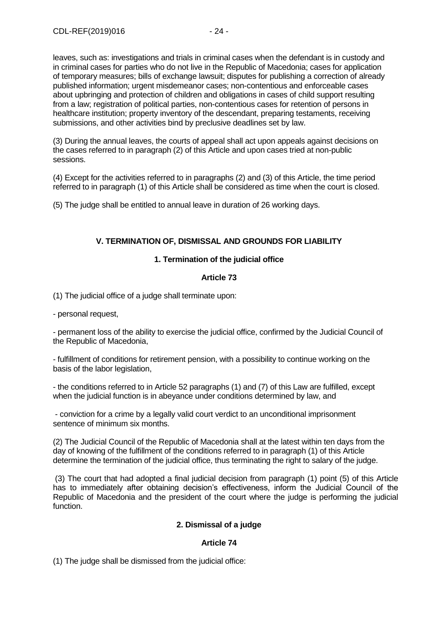leaves, such as: investigations and trials in criminal cases when the defendant is in custody and in criminal cases for parties who do not live in the Republic of Macedonia; cases for application of temporary measures; bills of exchange lawsuit; disputes for publishing a correction of already published information; urgent misdemeanor cases; non-contentious and enforceable cases about upbringing and protection of children and obligations in cases of child support resulting from a law; registration of political parties, non-contentious cases for retention of persons in healthcare institution; property inventory of the descendant, preparing testaments, receiving submissions, and other activities bind by preclusive deadlines set by law.

(3) During the annual leaves, the courts of appeal shall act upon appeals against decisions on the cases referred to in paragraph (2) of this Article and upon cases tried at non-public sessions.

(4) Except for the activities referred to in paragraphs (2) and (3) of this Article, the time period referred to in paragraph (1) of this Article shall be considered as time when the court is closed.

(5) The judge shall be entitled to annual leave in duration of 26 working days.

# **V. TERMINATION OF, DISMISSAL AND GROUNDS FOR LIABILITY**

# **1. Termination of the judicial office**

# **Article 73**

(1) The judicial office of a judge shall terminate upon:

- personal request,

- permanent loss of the ability to exercise the judicial office, confirmed by the Judicial Council of the Republic of Macedonia,

- fulfillment of conditions for retirement pension, with a possibility to continue working on the basis of the labor legislation,

- the conditions referred to in Article 52 paragraphs (1) and (7) of this Law are fulfilled, except when the judicial function is in abeyance under conditions determined by law, and

- conviction for a crime by a legally valid court verdict to an unconditional imprisonment sentence of minimum six months.

(2) The Judicial Council of the Republic of Macedonia shall at the latest within ten days from the day of knowing of the fulfillment of the conditions referred to in paragraph (1) of this Article determine the termination of the judicial office, thus terminating the right to salary of the judge.

(3) The court that had adopted a final judicial decision from paragraph (1) point (5) of this Article has to immediately after obtaining decision's effectiveness, inform the Judicial Council of the Republic of Macedonia and the president of the court where the judge is performing the judicial function.

# **2. Dismissal of a judge**

# **Article 74**

(1) The judge shall be dismissed from the judicial office: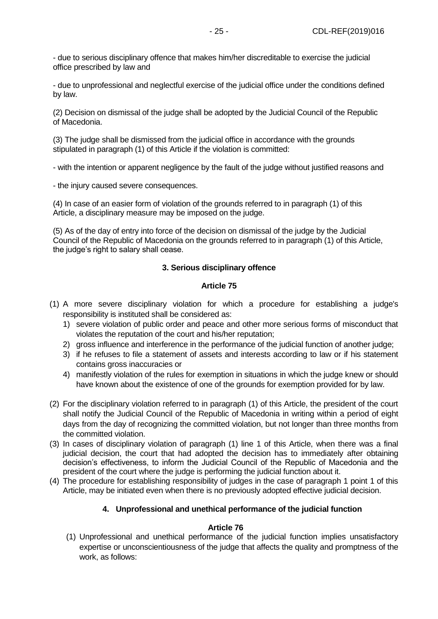- due to serious disciplinary offence that makes him/her discreditable to exercise the judicial office prescribed by law and

- due to unprofessional and neglectful exercise of the judicial office under the conditions defined by law.

(2) Decision on dismissal of the judge shall be adopted by the Judicial Council of the Republic of Macedonia.

(3) The judge shall be dismissed from the judicial office in accordance with the grounds stipulated in paragraph (1) of this Article if the violation is committed:

- with the intention or apparent negligence by the fault of the judge without justified reasons and

- the injury caused severe consequences.

(4) In case of an easier form of violation of the grounds referred to in paragraph (1) of this Article, a disciplinary measure may be imposed on the judge.

(5) As of the day of entry into force of the decision on dismissal of the judge by the Judicial Council of the Republic of Macedonia on the grounds referred to in paragraph (1) of this Article, the judge's right to salary shall cease.

# **3. Serious disciplinary offence**

#### **Article 75**

- (1) A more severe disciplinary violation for which a procedure for establishing a judge's responsibility is instituted shall be considered as:
	- 1) severe violation of public order and peace and other more serious forms of misconduct that violates the reputation of the court and his/her reputation;
	- 2) gross influence and interference in the performance of the judicial function of another judge;
	- 3) if he refuses to file a statement of assets and interests according to law or if his statement contains gross inaccuracies or
	- 4) manifestly violation of the rules for exemption in situations in which the judge knew or should have known about the existence of one of the grounds for exemption provided for by law.
- (2) For the disciplinary violation referred to in paragraph (1) of this Article, the president of the court shall notify the Judicial Council of the Republic of Macedonia in writing within a period of eight days from the day of recognizing the committed violation, but not longer than three months from the committed violation.
- (3) In cases of disciplinary violation of paragraph (1) line 1 of this Article, when there was a final judicial decision, the court that had adopted the decision has to immediately after obtaining decision's effectiveness, to inform the Judicial Council of the Republic of Macedonia and the president of the court where the judge is performing the judicial function about it.
- (4) The procedure for establishing responsibility of judges in the case of paragraph 1 point 1 of this Article, may be initiated even when there is no previously adopted effective judicial decision.

# **4. Unprofessional and unethical performance of the judicial function**

#### **Article 76**

(1) Unprofessional and unethical performance of the judicial function implies unsatisfactory expertise or unconscientiousness of the judge that affects the quality and promptness of the work, as follows: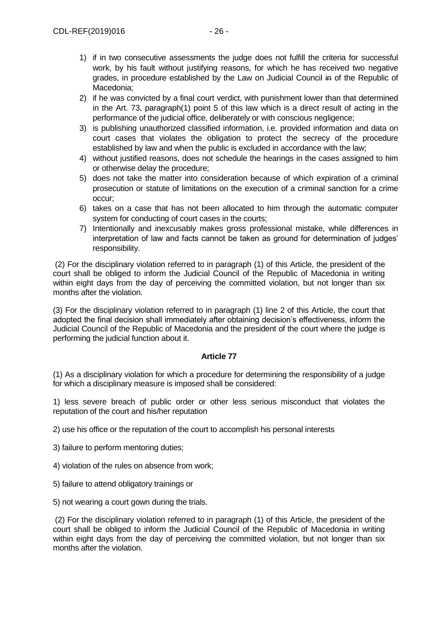- 1) if in two consecutive assessments the judge does not fulfill the criteria for successful work, by his fault without justifying reasons, for which he has received two negative grades, in procedure established by the Law on Judicial Council in of the Republic of Macedonia;
- 2) if he was convicted by a final court verdict, with punishment lower than that determined in the Art. 73, paragraph(1) point 5 of this law which is a direct result of acting in the performance of the judicial office, deliberately or with conscious negligence;
- 3) is publishing unauthorized classified information, i.e. provided information and data on court cases that violates the obligation to protect the secrecy of the procedure established by law and when the public is excluded in accordance with the law;
- 4) without justified reasons, does not schedule the hearings in the cases assigned to him or otherwise delay the procedure;
- 5) does not take the matter into consideration because of which expiration of a criminal prosecution or statute of limitations on the execution of a criminal sanction for a crime occur;
- 6) takes on a case that has not been allocated to him through the automatic computer system for conducting of court cases in the courts;
- 7) Intentionally and inexcusably makes gross professional mistake, while differences in interpretation of law and facts cannot be taken as ground for determination of judges' responsibility.

(2) For the disciplinary violation referred to in paragraph (1) of this Article, the president of the court shall be obliged to inform the Judicial Council of the Republic of Macedonia in writing within eight days from the day of perceiving the committed violation, but not longer than six months after the violation.

(3) For the disciplinary violation referred to in paragraph (1) line 2 of this Article, the court that adopted the final decision shall immediately after obtaining decision's effectiveness, inform the Judicial Council of the Republic of Macedonia and the president of the court where the judge is performing the judicial function about it.

# **Article 77**

(1) As a disciplinary violation for which a procedure for determining the responsibility of a judge for which a disciplinary measure is imposed shall be considered:

1) less severe breach of public order or other less serious misconduct that violates the reputation of the court and his/her reputation

2) use his office or the reputation of the court to accomplish his personal interests

3) failure to perform mentoring duties;

- 4) violation of the rules on absence from work;
- 5) failure to attend obligatory trainings or

5) not wearing a court gown during the trials.

(2) For the disciplinary violation referred to in paragraph (1) of this Article, the president of the court shall be obliged to inform the Judicial Council of the Republic of Macedonia in writing within eight days from the day of perceiving the committed violation, but not longer than six months after the violation.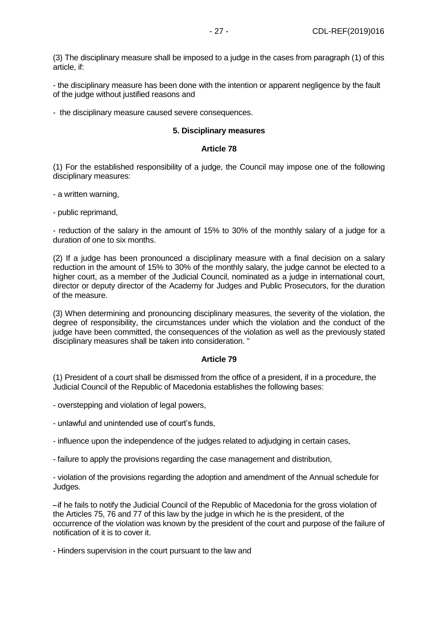(3) The disciplinary measure shall be imposed to a judge in the cases from paragraph (1) of this article, if:

- the disciplinary measure has been done with the intention or apparent negligence by the fault of the judge without justified reasons and

- the disciplinary measure caused severe consequences.

#### **5. Disciplinary measures**

#### **Article 78**

(1) For the established responsibility of a judge, the Council may impose one of the following disciplinary measures:

- a written warning,
- public reprimand,

- reduction of the salary in the amount of 15% to 30% of the monthly salary of a judge for a duration of one to six months.

(2) If a judge has been pronounced a disciplinary measure with a final decision on a salary reduction in the amount of 15% to 30% of the monthly salary, the judge cannot be elected to a higher court, as a member of the Judicial Council, nominated as a judge in international court, director or deputy director of the Academy for Judges and Public Prosecutors, for the duration of the measure.

(3) When determining and pronouncing disciplinary measures, the severity of the violation, the degree of responsibility, the circumstances under which the violation and the conduct of the judge have been committed, the consequences of the violation as well as the previously stated disciplinary measures shall be taken into consideration. "

#### **Article 79**

(1) President of a court shall be dismissed from the office of a president, if in a procedure, the Judicial Council of the Republic of Macedonia establishes the following bases:

- overstepping and violation of legal powers,

- unlawful and unintended use of court's funds,

- influence upon the independence of the judges related to adjudging in certain cases,

- failure to apply the provisions regarding the case management and distribution,

- violation of the provisions regarding the adoption and amendment of the Annual schedule for Judges.

- if he fails to notify the Judicial Council of the Republic of Macedonia for the gross violation of the Articles 75, 76 and 77 of this law by the judge in which he is the president, of the occurrence of the violation was known by the president of the court and purpose of the failure of notification of it is to cover it.

- Hinders supervision in the court pursuant to the law and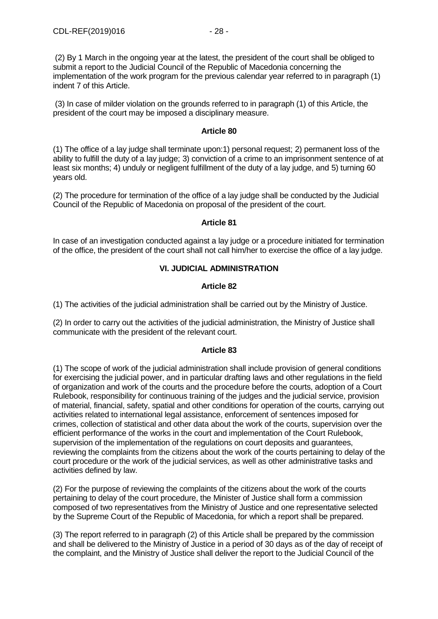(3) In case of milder violation on the grounds referred to in paragraph (1) of this Article, the president of the court may be imposed a disciplinary measure.

#### **Article 80**

(1) The office of a lay judge shall terminate upon:1) personal request; 2) permanent loss of the ability to fulfill the duty of a lay judge; 3) conviction of a crime to an imprisonment sentence of at least six months; 4) unduly or negligent fulfillment of the duty of a lay judge, and 5) turning 60 years old.

(2) The procedure for termination of the office of a lay judge shall be conducted by the Judicial Council of the Republic of Macedonia on proposal of the president of the court.

#### **Article 81**

In case of an investigation conducted against a lay judge or a procedure initiated for termination of the office, the president of the court shall not call him/her to exercise the office of a lay judge.

# **VI. JUDICIAL ADMINISTRATION**

#### **Article 82**

(1) The activities of the judicial administration shall be carried out by the Ministry of Justice.

(2) In order to carry out the activities of the judicial administration, the Ministry of Justice shall communicate with the president of the relevant court.

#### **Article 83**

(1) The scope of work of the judicial administration shall include provision of general conditions for exercising the judicial power, and in particular drafting laws and other regulations in the field of organization and work of the courts and the procedure before the courts, adoption of a Court Rulebook, responsibility for continuous training of the judges and the judicial service, provision of material, financial, safety, spatial and other conditions for operation of the courts, carrying out activities related to international legal assistance, enforcement of sentences imposed for crimes, collection of statistical and other data about the work of the courts, supervision over the efficient performance of the works in the court and implementation of the Court Rulebook, supervision of the implementation of the regulations on court deposits and guarantees, reviewing the complaints from the citizens about the work of the courts pertaining to delay of the court procedure or the work of the judicial services, as well as other administrative tasks and activities defined by law.

(2) For the purpose of reviewing the complaints of the citizens about the work of the courts pertaining to delay of the court procedure, the Minister of Justice shall form a commission composed of two representatives from the Ministry of Justice and one representative selected by the Supreme Court of the Republic of Macedonia, for which a report shall be prepared.

(3) The report referred to in paragraph (2) of this Article shall be prepared by the commission and shall be delivered to the Ministry of Justice in a period of 30 days as of the day of receipt of the complaint, and the Ministry of Justice shall deliver the report to the Judicial Council of the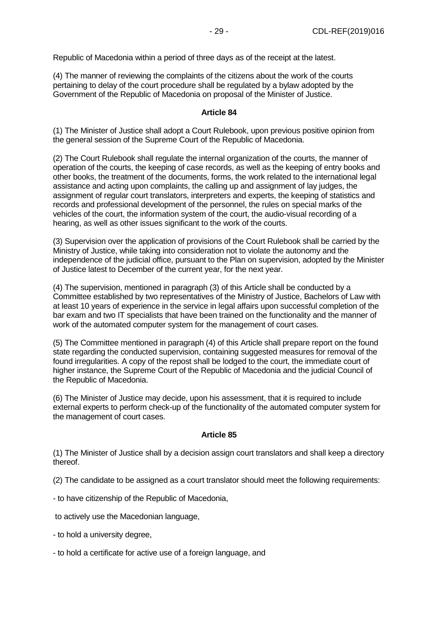Republic of Macedonia within a period of three days as of the receipt at the latest.

(4) The manner of reviewing the complaints of the citizens about the work of the courts pertaining to delay of the court procedure shall be regulated by a bylaw adopted by the Government of the Republic of Macedonia on proposal of the Minister of Justice.

#### **Article 84**

(1) The Minister of Justice shall adopt a Court Rulebook, upon previous positive opinion from the general session of the Supreme Court of the Republic of Macedonia.

(2) The Court Rulebook shall regulate the internal organization of the courts, the manner of operation of the courts, the keeping of case records, as well as the keeping of entry books and other books, the treatment of the documents, forms, the work related to the international legal assistance and acting upon complaints, the calling up and assignment of lay judges, the assignment of regular court translators, interpreters and experts, the keeping of statistics and records and professional development of the personnel, the rules on special marks of the vehicles of the court, the information system of the court, the audio-visual recording of a hearing, as well as other issues significant to the work of the courts.

(3) Supervision over the application of provisions of the Court Rulebook shall be carried by the Ministry of Justice, while taking into consideration not to violate the autonomy and the independence of the judicial office, pursuant to the Plan on supervision, adopted by the Minister of Justice latest to December of the current year, for the next year.

(4) The supervision, mentioned in paragraph (3) of this Article shall be conducted by a Committee established by two representatives of the Ministry of Justice, Bachelors of Law with at least 10 years of experience in the service in legal affairs upon successful completion of the bar exam and two IT specialists that have been trained on the functionality and the manner of work of the automated computer system for the management of court cases.

(5) The Committee mentioned in paragraph (4) of this Article shall prepare report on the found state regarding the conducted supervision, containing suggested measures for removal of the found irregularities. A copy of the repost shall be lodged to the court, the immediate court of higher instance, the Supreme Court of the Republic of Macedonia and the judicial Council of the Republic of Macedonia.

(6) The Minister of Justice may decide, upon his assessment, that it is required to include external experts to perform check-up of the functionality of the automated computer system for the management of court cases.

#### **Article 85**

(1) The Minister of Justice shall by a decision assign court translators and shall keep a directory thereof.

(2) The candidate to be assigned as a court translator should meet the following requirements:

- to have citizenship of the Republic of Macedonia,

to actively use the Macedonian language,

- to hold a university degree,
- to hold a certificate for active use of a foreign language, and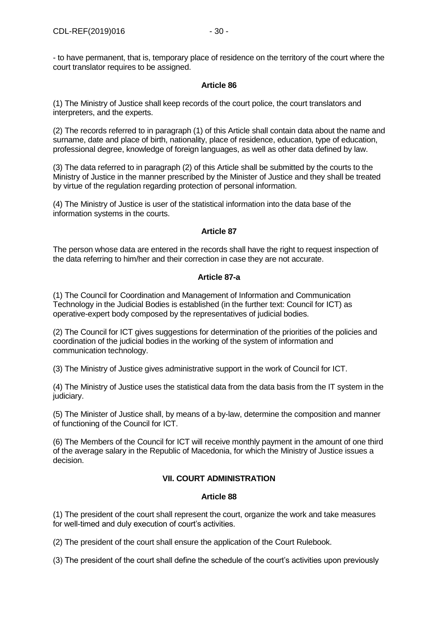- to have permanent, that is, temporary place of residence on the territory of the court where the court translator requires to be assigned.

#### **Article 86**

(1) The Ministry of Justice shall keep records of the court police, the court translators and interpreters, and the experts.

(2) The records referred to in paragraph (1) of this Article shall contain data about the name and surname, date and place of birth, nationality, place of residence, education, type of education, professional degree, knowledge of foreign languages, as well as other data defined by law.

(3) The data referred to in paragraph (2) of this Article shall be submitted by the courts to the Ministry of Justice in the manner prescribed by the Minister of Justice and they shall be treated by virtue of the regulation regarding protection of personal information.

(4) The Ministry of Justice is user of the statistical information into the data base of the information systems in the courts.

# **Article 87**

The person whose data are entered in the records shall have the right to request inspection of the data referring to him/her and their correction in case they are not accurate.

# **Article 87-a**

(1) The Council for Coordination and Management of Information and Communication Technology in the Judicial Bodies is established (in the further text: Council for ICT) as operative-expert body composed by the representatives of judicial bodies.

(2) The Council for ICT gives suggestions for determination of the priorities of the policies and coordination of the judicial bodies in the working of the system of information and communication technology.

(3) The Ministry of Justice gives administrative support in the work of Council for ICT.

(4) The Ministry of Justice uses the statistical data from the data basis from the IT system in the judiciary.

(5) The Minister of Justice shall, by means of a by-law, determine the composition and manner of functioning of the Council for ICT.

(6) The Members of the Council for ICT will receive monthly payment in the amount of one third of the average salary in the Republic of Macedonia, for which the Ministry of Justice issues a decision.

# **VII. COURT ADMINISTRATION**

# **Article 88**

(1) The president of the court shall represent the court, organize the work and take measures for well-timed and duly execution of court's activities.

(2) The president of the court shall ensure the application of the Court Rulebook.

(3) The president of the court shall define the schedule of the court's activities upon previously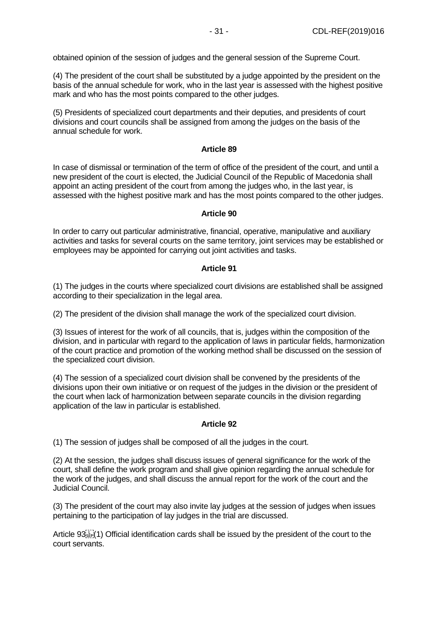obtained opinion of the session of judges and the general session of the Supreme Court.

(4) The president of the court shall be substituted by a judge appointed by the president on the basis of the annual schedule for work, who in the last year is assessed with the highest positive mark and who has the most points compared to the other judges.

(5) Presidents of specialized court departments and their deputies, and presidents of court divisions and court councils shall be assigned from among the judges on the basis of the annual schedule for work.

# **Article 89**

In case of dismissal or termination of the term of office of the president of the court, and until a new president of the court is elected, the Judicial Council of the Republic of Macedonia shall appoint an acting president of the court from among the judges who, in the last year, is assessed with the highest positive mark and has the most points compared to the other judges.

#### **Article 90**

In order to carry out particular administrative, financial, operative, manipulative and auxiliary activities and tasks for several courts on the same territory, joint services may be established or employees may be appointed for carrying out joint activities and tasks.

#### **Article 91**

(1) The judges in the courts where specialized court divisions are established shall be assigned according to their specialization in the legal area.

(2) The president of the division shall manage the work of the specialized court division.

(3) Issues of interest for the work of all councils, that is, judges within the composition of the division, and in particular with regard to the application of laws in particular fields, harmonization of the court practice and promotion of the working method shall be discussed on the session of the specialized court division.

(4) The session of a specialized court division shall be convened by the presidents of the divisions upon their own initiative or on request of the judges in the division or the president of the court when lack of harmonization between separate councils in the division regarding application of the law in particular is established.

# **Article 92**

(1) The session of judges shall be composed of all the judges in the court.

(2) At the session, the judges shall discuss issues of general significance for the work of the court, shall define the work program and shall give opinion regarding the annual schedule for the work of the judges, and shall discuss the annual report for the work of the court and the Judicial Council.

(3) The president of the court may also invite lay judges at the session of judges when issues pertaining to the participation of lay judges in the trial are discussed.

Article  $93_{\text{SEP}}^{113}(1)$  Official identification cards shall be issued by the president of the court to the court servants.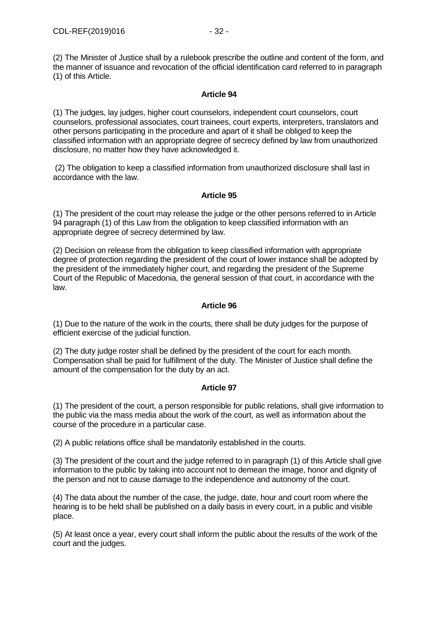(2) The Minister of Justice shall by a rulebook prescribe the outline and content of the form, and the manner of issuance and revocation of the official identification card referred to in paragraph (1) of this Article.

# **Article 94**

(1) The judges, lay judges, higher court counselors, independent court counselors, court counselors, professional associates, court trainees, court experts, interpreters, translators and other persons participating in the procedure and apart of it shall be obliged to keep the classified information with an appropriate degree of secrecy defined by law from unauthorized disclosure, no matter how they have acknowledged it.

(2) The obligation to keep a classified information from unauthorized disclosure shall last in accordance with the law.

# **Article 95**

(1) The president of the court may release the judge or the other persons referred to in Article 94 paragraph (1) of this Law from the obligation to keep classified information with an appropriate degree of secrecy determined by law.

(2) Decision on release from the obligation to keep classified information with appropriate degree of protection regarding the president of the court of lower instance shall be adopted by the president of the immediately higher court, and regarding the president of the Supreme Court of the Republic of Macedonia, the general session of that court, in accordance with the law.

# **Article 96**

(1) Due to the nature of the work in the courts, there shall be duty judges for the purpose of efficient exercise of the judicial function.

(2) The duty judge roster shall be defined by the president of the court for each month. Compensation shall be paid for fulfillment of the duty. The Minister of Justice shall define the amount of the compensation for the duty by an act.

# **Article 97**

(1) The president of the court, a person responsible for public relations, shall give information to the public via the mass media about the work of the court, as well as information about the course of the procedure in a particular case.

(2) A public relations office shall be mandatorily established in the courts.

(3) The president of the court and the judge referred to in paragraph (1) of this Article shall give information to the public by taking into account not to demean the image, honor and dignity of the person and not to cause damage to the independence and autonomy of the court.

(4) The data about the number of the case, the judge, date, hour and court room where the hearing is to be held shall be published on a daily basis in every court, in a public and visible place.

(5) At least once a year, every court shall inform the public about the results of the work of the court and the judges.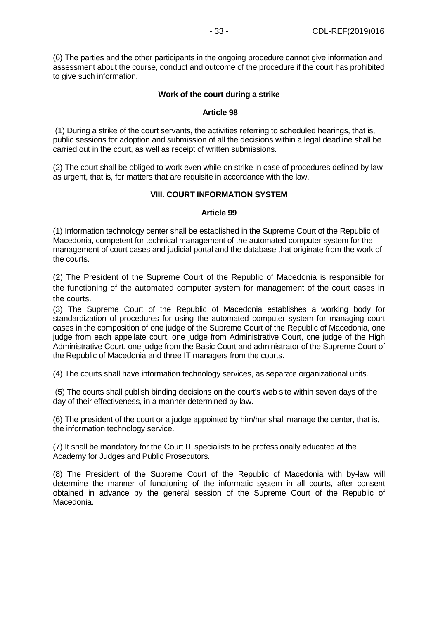(6) The parties and the other participants in the ongoing procedure cannot give information and assessment about the course, conduct and outcome of the procedure if the court has prohibited to give such information.

#### **Work of the court during a strike**

#### **Article 98**

(1) During a strike of the court servants, the activities referring to scheduled hearings, that is, public sessions for adoption and submission of all the decisions within a legal deadline shall be carried out in the court, as well as receipt of written submissions.

(2) The court shall be obliged to work even while on strike in case of procedures defined by law as urgent, that is, for matters that are requisite in accordance with the law.

#### **VIII. COURT INFORMATION SYSTEM**

#### **Article 99**

(1) Information technology center shall be established in the Supreme Court of the Republic of Macedonia, competent for technical management of the automated computer system for the management of court cases and judicial portal and the database that originate from the work of the courts.

(2) The President of the Supreme Court of the Republic of Macedonia is responsible for the functioning of the automated computer system for management of the court cases in the courts.

(3) The Supreme Court of the Republic of Macedonia establishes a working body for standardization of procedures for using the automated computer system for managing court cases in the composition of one judge of the Supreme Court of the Republic of Macedonia, one judge from each appellate court, one judge from Administrative Court, one judge of the High Administrative Court, one judge from the Basic Court and administrator of the Supreme Court of the Republic of Macedonia and three IT managers from the courts.

(4) The courts shall have information technology services, as separate organizational units.

(5) The courts shall publish binding decisions on the court's web site within seven days of the day of their effectiveness, in a manner determined by law.

(6) The president of the court or a judge appointed by him/her shall manage the center, that is, the information technology service.

(7) It shall be mandatory for the Court IT specialists to be professionally educated at the Academy for Judges and Public Prosecutors.

(8) The President of the Supreme Court of the Republic of Macedonia with by-law will determine the manner of functioning of the informatic system in all courts, after consent obtained in advance by the general session of the Supreme Court of the Republic of Macedonia.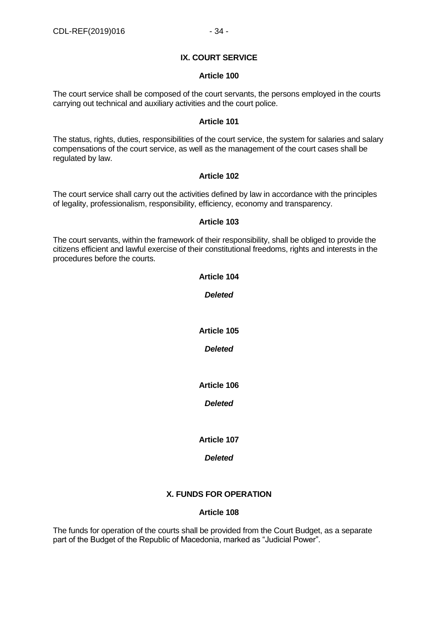# **IX. COURT SERVICE**

#### **Article 100**

The court service shall be composed of the court servants, the persons employed in the courts carrying out technical and auxiliary activities and the court police.

#### **Article 101**

The status, rights, duties, responsibilities of the court service, the system for salaries and salary compensations of the court service, as well as the management of the court cases shall be regulated by law.

#### **Article 102**

The court service shall carry out the activities defined by law in accordance with the principles of legality, professionalism, responsibility, efficiency, economy and transparency.

#### **Article 103**

The court servants, within the framework of their responsibility, shall be obliged to provide the citizens efficient and lawful exercise of their constitutional freedoms, rights and interests in the procedures before the courts.

# *Deleted*

**Article 104**

**Article 105**

*Deleted*

**Article 106**

*Deleted*

**Article 107**

# *Deleted*

# **X. FUNDS FOR OPERATION**

# **Article 108**

The funds for operation of the courts shall be provided from the Court Budget, as a separate part of the Budget of the Republic of Macedonia, marked as "Judicial Power".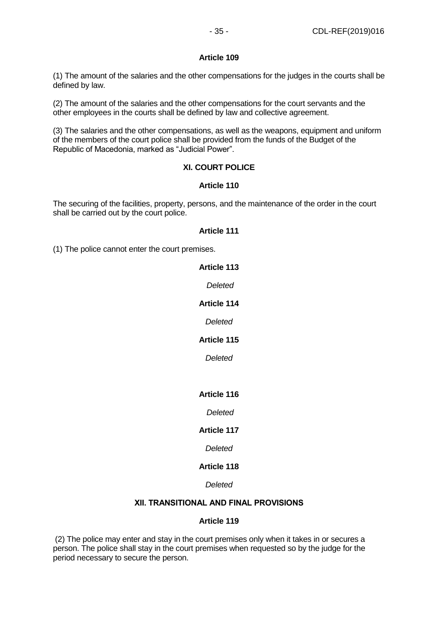#### **Article 109**

(1) The amount of the salaries and the other compensations for the judges in the courts shall be defined by law.

(2) The amount of the salaries and the other compensations for the court servants and the other employees in the courts shall be defined by law and collective agreement.

(3) The salaries and the other compensations, as well as the weapons, equipment and uniform of the members of the court police shall be provided from the funds of the Budget of the Republic of Macedonia, marked as "Judicial Power".

# **XI. COURT POLICE**

# **Article 110**

The securing of the facilities, property, persons, and the maintenance of the order in the court shall be carried out by the court police.

#### **Article 111**

(1) The police cannot enter the court premises.

# **Article 113** *Deleted*

# **Article 114**

*Deleted*

# **Article 115**

*Deleted*

# **Article 116**

#### *Deleted*

# **Article 117**

*Deleted*

# **Article 118**

# *Deleted*

# **ХII. TRANSITIONAL AND FINAL PROVISIONS**

# **Article 119**

(2) The police may enter and stay in the court premises only when it takes in or secures a person. The police shall stay in the court premises when requested so by the judge for the period necessary to secure the person.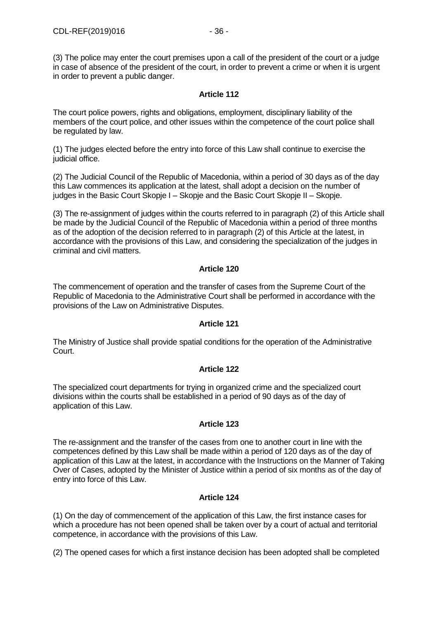(3) The police may enter the court premises upon a call of the president of the court or a judge in case of absence of the president of the court, in order to prevent a crime or when it is urgent in order to prevent a public danger.

#### **Article 112**

The court police powers, rights and obligations, employment, disciplinary liability of the members of the court police, and other issues within the competence of the court police shall be regulated by law.

(1) The judges elected before the entry into force of this Law shall continue to exercise the judicial office.

(2) The Judicial Council of the Republic of Macedonia, within a period of 30 days as of the day this Law commences its application at the latest, shall adopt a decision on the number of judges in the Basic Court Skopje I – Skopje and the Basic Court Skopje II – Skopje.

(3) The re-assignment of judges within the courts referred to in paragraph (2) of this Article shall be made by the Judicial Council of the Republic of Macedonia within a period of three months as of the adoption of the decision referred to in paragraph (2) of this Article at the latest, in accordance with the provisions of this Law, and considering the specialization of the judges in criminal and civil matters.

#### **Article 120**

The commencement of operation and the transfer of cases from the Supreme Court of the Republic of Macedonia to the Administrative Court shall be performed in accordance with the provisions of the Law on Administrative Disputes.

#### **Article 121**

The Ministry of Justice shall provide spatial conditions for the operation of the Administrative Court.

# **Article 122**

The specialized court departments for trying in organized crime and the specialized court divisions within the courts shall be established in a period of 90 days as of the day of application of this Law.

#### **Article 123**

The re-assignment and the transfer of the cases from one to another court in line with the competences defined by this Law shall be made within a period of 120 days as of the day of application of this Law at the latest, in accordance with the Instructions on the Manner of Taking Over of Cases, adopted by the Minister of Justice within a period of six months as of the day of entry into force of this Law.

# **Article 124**

(1) On the day of commencement of the application of this Law, the first instance cases for which a procedure has not been opened shall be taken over by a court of actual and territorial competence, in accordance with the provisions of this Law.

(2) The opened cases for which a first instance decision has been adopted shall be completed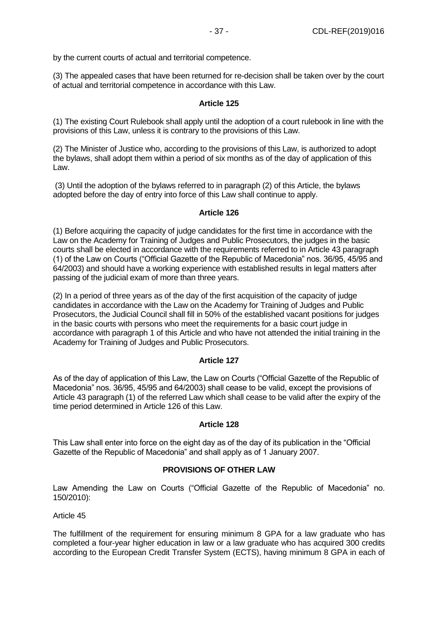(3) The appealed cases that have been returned for re-decision shall be taken over by the court of actual and territorial competence in accordance with this Law.

#### **Article 125**

(1) The existing Court Rulebook shall apply until the adoption of a court rulebook in line with the provisions of this Law, unless it is contrary to the provisions of this Law.

(2) The Minister of Justice who, according to the provisions of this Law, is authorized to adopt the bylaws, shall adopt them within a period of six months as of the day of application of this Law.

(3) Until the adoption of the bylaws referred to in paragraph (2) of this Article, the bylaws adopted before the day of entry into force of this Law shall continue to apply.

#### **Article 126**

(1) Before acquiring the capacity of judge candidates for the first time in accordance with the Law on the Academy for Training of Judges and Public Prosecutors, the judges in the basic courts shall be elected in accordance with the requirements referred to in Article 43 paragraph (1) of the Law on Courts ("Official Gazette of the Republic of Macedonia" nos. 36/95, 45/95 and 64/2003) and should have a working experience with established results in legal matters after passing of the judicial exam of more than three years.

(2) In a period of three years as of the day of the first acquisition of the capacity of judge candidates in accordance with the Law on the Academy for Training of Judges and Public Prosecutors, the Judicial Council shall fill in 50% of the established vacant positions for judges in the basic courts with persons who meet the requirements for a basic court judge in accordance with paragraph 1 of this Article and who have not attended the initial training in the Academy for Training of Judges and Public Prosecutors.

#### **Article 127**

As of the day of application of this Law, the Law on Courts ("Official Gazette of the Republic of Macedonia" nos. 36/95, 45/95 and 64/2003) shall cease to be valid, except the provisions of Article 43 paragraph (1) of the referred Law which shall cease to be valid after the expiry of the time period determined in Article 126 of this Law.

#### **Article 128**

This Law shall enter into force on the eight day as of the day of its publication in the "Official Gazette of the Republic of Macedonia" and shall apply as of 1 January 2007.

# **PROVISIONS OF OTHER LAW**

Law Amending the Law on Courts ("Official Gazette of the Republic of Macedonia" no. 150/2010):

#### Article 45

The fulfillment of the requirement for ensuring minimum 8 GPA for a law graduate who has completed a four-year higher education in law or a law graduate who has acquired 300 credits according to the European Credit Transfer System (ECTS), having minimum 8 GPA in each of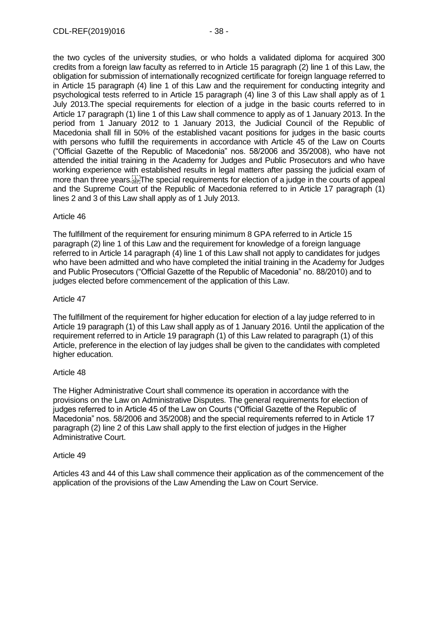the two cycles of the university studies, or who holds a validated diploma for acquired 300 credits from a foreign law faculty as referred to in Article 15 paragraph (2) line 1 of this Law, the obligation for submission of internationally recognized certificate for foreign language referred to in Article 15 paragraph (4) line 1 of this Law and the requirement for conducting integrity and psychological tests referred to in Article 15 paragraph (4) line 3 of this Law shall apply as of 1 July 2013.The special requirements for election of a judge in the basic courts referred to in Article 17 paragraph (1) line 1 of this Law shall commence to apply as of 1 January 2013. In the period from 1 January 2012 to 1 January 2013, the Judicial Council of the Republic of Macedonia shall fill in 50% of the established vacant positions for judges in the basic courts with persons who fulfill the requirements in accordance with Article 45 of the Law on Courts ("Official Gazette of the Republic of Macedonia" nos. 58/2006 and 35/2008), who have not attended the initial training in the Academy for Judges and Public Prosecutors and who have working experience with established results in legal matters after passing the judicial exam of more than three years. The special requirements for election of a judge in the courts of appeal and the Supreme Court of the Republic of Macedonia referred to in Article 17 paragraph (1) lines 2 and 3 of this Law shall apply as of 1 July 2013.

#### Article 46

The fulfillment of the requirement for ensuring minimum 8 GPA referred to in Article 15 paragraph (2) line 1 of this Law and the requirement for knowledge of a foreign language referred to in Article 14 paragraph (4) line 1 of this Law shall not apply to candidates for judges who have been admitted and who have completed the initial training in the Academy for Judges and Public Prosecutors ("Official Gazette of the Republic of Macedonia" no. 88/2010) and to judges elected before commencement of the application of this Law.

#### Article 47

The fulfillment of the requirement for higher education for election of a lay judge referred to in Article 19 paragraph (1) of this Law shall apply as of 1 January 2016. Until the application of the requirement referred to in Article 19 paragraph (1) of this Law related to paragraph (1) of this Article, preference in the election of lay judges shall be given to the candidates with completed higher education.

#### Article 48

The Higher Administrative Court shall commence its operation in accordance with the provisions on the Law on Administrative Disputes. The general requirements for election of judges referred to in Article 45 of the Law on Courts ("Official Gazette of the Republic of Macedonia" nos. 58/2006 and 35/2008) and the special requirements referred to in Article 17 paragraph (2) line 2 of this Law shall apply to the first election of judges in the Higher Administrative Court.

#### Article 49

Articles 43 and 44 of this Law shall commence their application as of the commencement of the application of the provisions of the Law Amending the Law on Court Service.